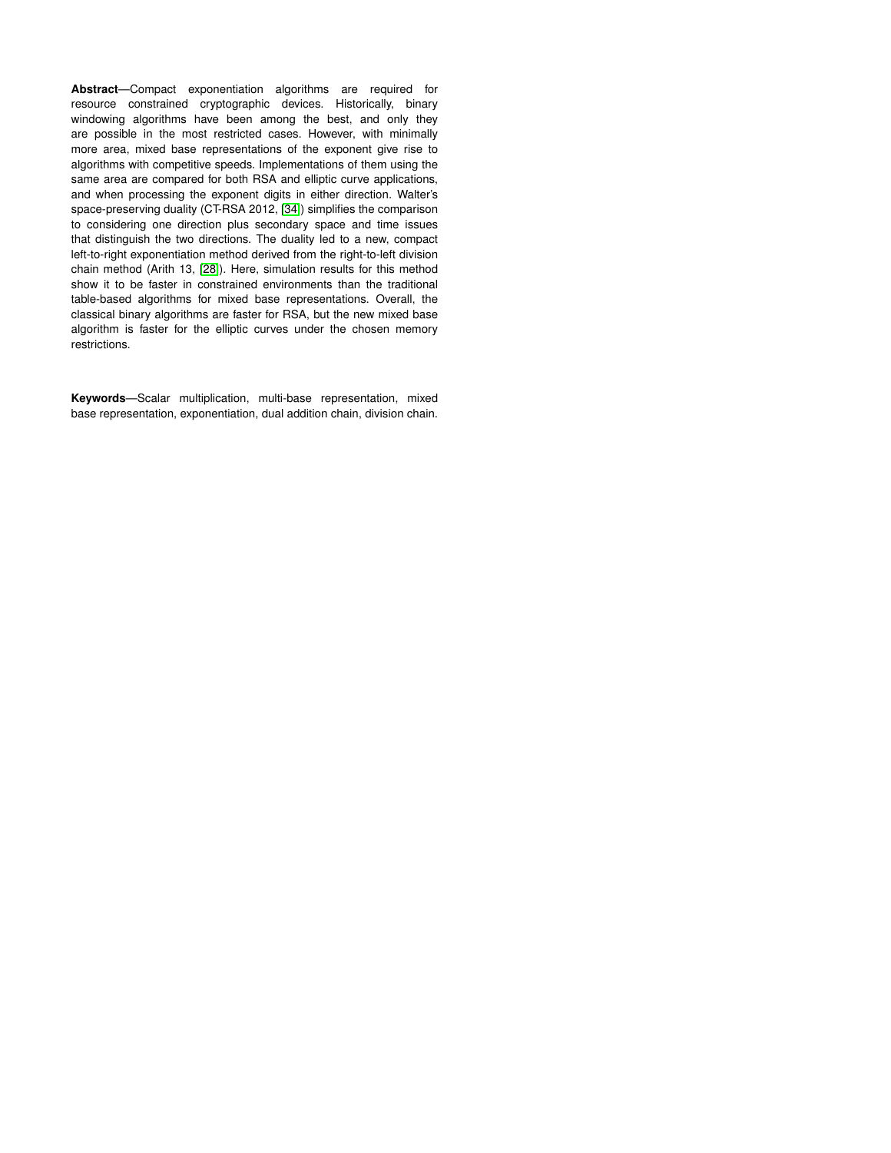**Abstract**—Compact exponentiation algorithms are required for resource constrained cryptographic devices. Historically, binary windowing algorithms have been among the best, and only they are possible in the most restricted cases. However, with minimally more area, mixed base representations of the exponent give rise to algorithms with competitive speeds. Implementations of them using the same area are compared for both RSA and elliptic curve applications, and when processing the exponent digits in either direction. Walter's space-preserving duality (CT-RSA 2012, [\[34\]](#page-14-0)) simplifies the comparison to considering one direction plus secondary space and time issues that distinguish the two directions. The duality led to a new, compact left-to-right exponentiation method derived from the right-to-left division chain method (Arith 13, [\[28\]](#page-14-1)). Here, simulation results for this method show it to be faster in constrained environments than the traditional table-based algorithms for mixed base representations. Overall, the classical binary algorithms are faster for RSA, but the new mixed base algorithm is faster for the elliptic curves under the chosen memory restrictions.

**Keywords**—Scalar multiplication, multi-base representation, mixed base representation, exponentiation, dual addition chain, division chain.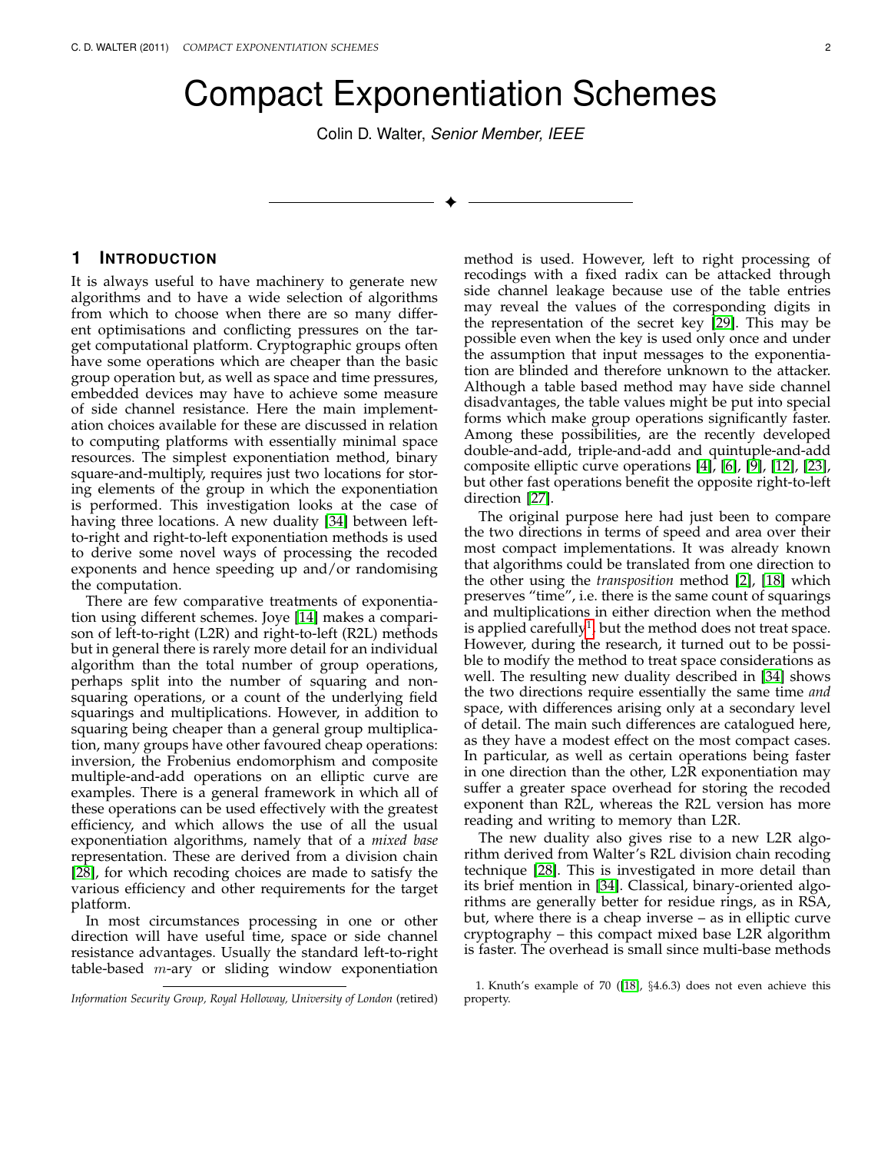# Compact Exponentiation Schemes

Colin D. Walter, *Senior Member, IEEE*

✦

# **1 INTRODUCTION**

It is always useful to have machinery to generate new algorithms and to have a wide selection of algorithms from which to choose when there are so many different optimisations and conflicting pressures on the target computational platform. Cryptographic groups often have some operations which are cheaper than the basic group operation but, as well as space and time pressures, embedded devices may have to achieve some measure of side channel resistance. Here the main implementation choices available for these are discussed in relation to computing platforms with essentially minimal space resources. The simplest exponentiation method, binary square-and-multiply, requires just two locations for storing elements of the group in which the exponentiation is performed. This investigation looks at the case of having three locations. A new duality [\[34\]](#page-14-0) between leftto-right and right-to-left exponentiation methods is used to derive some novel ways of processing the recoded exponents and hence speeding up and/or randomising the computation.

There are few comparative treatments of exponentiation using different schemes. Joye [\[14\]](#page-13-0) makes a comparison of left-to-right (L2R) and right-to-left (R2L) methods but in general there is rarely more detail for an individual algorithm than the total number of group operations, perhaps split into the number of squaring and nonsquaring operations, or a count of the underlying field squarings and multiplications. However, in addition to squaring being cheaper than a general group multiplication, many groups have other favoured cheap operations: inversion, the Frobenius endomorphism and composite multiple-and-add operations on an elliptic curve are examples. There is a general framework in which all of these operations can be used effectively with the greatest efficiency, and which allows the use of all the usual exponentiation algorithms, namely that of a *mixed base* representation. These are derived from a division chain [\[28\]](#page-14-1), for which recoding choices are made to satisfy the various efficiency and other requirements for the target platform.

In most circumstances processing in one or other direction will have useful time, space or side channel resistance advantages. Usually the standard left-to-right table-based  $m$ -ary or sliding window exponentiation method is used. However, left to right processing of recodings with a fixed radix can be attacked through side channel leakage because use of the table entries may reveal the values of the corresponding digits in the representation of the secret key [\[29\]](#page-14-2). This may be possible even when the key is used only once and under the assumption that input messages to the exponentiation are blinded and therefore unknown to the attacker. Although a table based method may have side channel disadvantages, the table values might be put into special forms which make group operations significantly faster. Among these possibilities, are the recently developed double-and-add, triple-and-add and quintuple-and-add composite elliptic curve operations [\[4\]](#page-13-1), [\[6\]](#page-13-2), [\[9\]](#page-13-3), [\[12\]](#page-13-4), [\[23\]](#page-13-5), but other fast operations benefit the opposite right-to-left direction [\[27\]](#page-14-3).

The original purpose here had just been to compare the two directions in terms of speed and area over their most compact implementations. It was already known that algorithms could be translated from one direction to the other using the *transposition* method [\[2\]](#page-13-6), [\[18\]](#page-13-7) which preserves "time", i.e. there is the same count of squarings and multiplications in either direction when the method is applied carefully $^1$  $^1$ , but the method does not treat space. However, during the research, it turned out to be possible to modify the method to treat space considerations as well. The resulting new duality described in [\[34\]](#page-14-0) shows the two directions require essentially the same time *and* space, with differences arising only at a secondary level of detail. The main such differences are catalogued here, as they have a modest effect on the most compact cases. In particular, as well as certain operations being faster in one direction than the other, L2R exponentiation may suffer a greater space overhead for storing the recoded exponent than R2L, whereas the R2L version has more reading and writing to memory than L2R.

The new duality also gives rise to a new L2R algorithm derived from Walter's R2L division chain recoding technique [\[28\]](#page-14-1). This is investigated in more detail than its brief mention in [\[34\]](#page-14-0). Classical, binary-oriented algorithms are generally better for residue rings, as in RSA, but, where there is a cheap inverse – as in elliptic curve cryptography – this compact mixed base L2R algorithm is faster. The overhead is small since multi-base methods

*Information Security Group, Royal Holloway, University of London* (retired)

<span id="page-1-0"></span><sup>1.</sup> Knuth's example of 70 ([\[18\]](#page-13-7), §4.6.3) does not even achieve this property.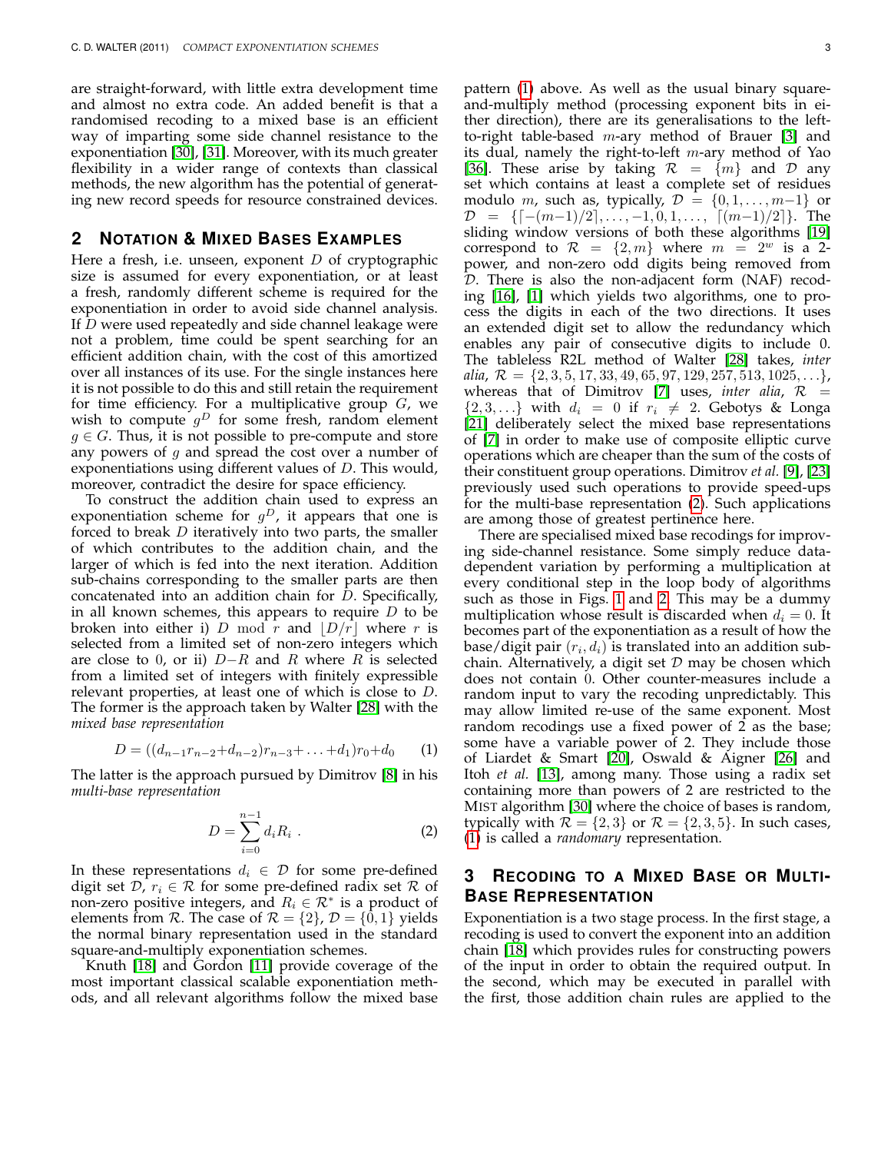are straight-forward, with little extra development time and almost no extra code. An added benefit is that a randomised recoding to a mixed base is an efficient way of imparting some side channel resistance to the exponentiation [\[30\]](#page-14-4), [\[31\]](#page-14-5). Moreover, with its much greater flexibility in a wider range of contexts than classical methods, the new algorithm has the potential of generating new record speeds for resource constrained devices.

# **2 NOTATION & MIXED BASES EXAMPLES**

Here a fresh, i.e. unseen, exponent  $D$  of cryptographic size is assumed for every exponentiation, or at least a fresh, randomly different scheme is required for the exponentiation in order to avoid side channel analysis. If D were used repeatedly and side channel leakage were not a problem, time could be spent searching for an efficient addition chain, with the cost of this amortized over all instances of its use. For the single instances here it is not possible to do this and still retain the requirement for time efficiency. For a multiplicative group  $G$ , we wish to compute  $g^D$  for some fresh, random element  $g \in G$ . Thus, it is not possible to pre-compute and store any powers of  $g$  and spread the cost over a number of exponentiations using different values of D. This would, moreover, contradict the desire for space efficiency.

To construct the addition chain used to express an exponentiation scheme for  $g^D$ , it appears that one is forced to break D iteratively into two parts, the smaller of which contributes to the addition chain, and the larger of which is fed into the next iteration. Addition sub-chains corresponding to the smaller parts are then concatenated into an addition chain for D. Specifically, in all known schemes, this appears to require  $D$  to be broken into either i) D mod r and  $\left|D/r\right|$  where r is selected from a limited set of non-zero integers which are close to 0, or ii)  $D-R$  and R where R is selected from a limited set of integers with finitely expressible relevant properties, at least one of which is close to D. The former is the approach taken by Walter [\[28\]](#page-14-1) with the *mixed base representation*

<span id="page-2-0"></span>
$$
D = ((d_{n-1}r_{n-2}+d_{n-2})r_{n-3}+\ldots+d_1)r_0+d_0 \qquad (1)
$$

The latter is the approach pursued by Dimitrov [\[8\]](#page-13-8) in his *multi-base representation*

<span id="page-2-1"></span>
$$
D = \sum_{i=0}^{n-1} d_i R_i \tag{2}
$$

In these representations  $d_i \in \mathcal{D}$  for some pre-defined digit set D,  $r_i \in \mathcal{R}$  for some pre-defined radix set R of non-zero positive integers, and  $R_i \in \mathcal{R}^*$  is a product of elements from R. The case of  $\mathcal{R} = \{2\}$ ,  $\mathcal{D} = \{0, 1\}$  yields the normal binary representation used in the standard square-and-multiply exponentiation schemes.

Knuth [\[18\]](#page-13-7) and Gordon [\[11\]](#page-13-9) provide coverage of the most important classical scalable exponentiation methods, and all relevant algorithms follow the mixed base pattern [\(1\)](#page-2-0) above. As well as the usual binary squareand-multiply method (processing exponent bits in either direction), there are its generalisations to the leftto-right table-based  $m$ -ary method of Brauer [\[3\]](#page-13-10) and its dual, namely the right-to-left  $m$ -ary method of Yao [\[36\]](#page-14-6). These arise by taking  $\mathcal{R} = \{m\}$  and  $\mathcal{D}$  any set which contains at least a complete set of residues modulo m, such as, typically,  $\mathcal{D} = \{0, 1, \ldots, m-1\}$  or  $\mathcal{D} = \{[-(m-1)/2], \ldots, -1, 0, 1, \ldots, [(m-1)/2]\}.$  The sliding window versions of both these algorithms [\[19\]](#page-13-11) correspond to  $\mathcal{R} = \{2,m\}$  where  $m = 2^w$  is a 2power, and non-zero odd digits being removed from D. There is also the non-adjacent form (NAF) recoding [\[16\]](#page-13-12), [\[1\]](#page-13-13) which yields two algorithms, one to process the digits in each of the two directions. It uses an extended digit set to allow the redundancy which enables any pair of consecutive digits to include 0. The tableless R2L method of Walter [\[28\]](#page-14-1) takes, *inter alia*,  $\mathcal{R} = \{2, 3, 5, 17, 33, 49, 65, 97, 129, 257, 513, 1025, \ldots\}$ , whereas that of Dimitrov [\[7\]](#page-13-14) uses, *inter alia*,  $\mathcal{R}$  =  $\{2, 3, \ldots\}$  with  $d_i = 0$  if  $r_i \neq 2$ . Gebotys & Longa [\[21\]](#page-13-15) deliberately select the mixed base representations of [\[7\]](#page-13-14) in order to make use of composite elliptic curve operations which are cheaper than the sum of the costs of their constituent group operations. Dimitrov *et al.* [\[9\]](#page-13-3), [\[23\]](#page-13-5) previously used such operations to provide speed-ups for the multi-base representation [\(2\)](#page-2-1). Such applications are among those of greatest pertinence here.

There are specialised mixed base recodings for improving side-channel resistance. Some simply reduce datadependent variation by performing a multiplication at every conditional step in the loop body of algorithms such as those in Figs. [1](#page-4-0) and [2.](#page-4-1) This may be a dummy multiplication whose result is discarded when  $d_i = 0$ . It becomes part of the exponentiation as a result of how the base/digit pair  $(r_i, d_i)$  is translated into an addition subchain. Alternatively, a digit set  $D$  may be chosen which does not contain 0. Other counter-measures include a random input to vary the recoding unpredictably. This may allow limited re-use of the same exponent. Most random recodings use a fixed power of 2 as the base; some have a variable power of 2. They include those of Liardet & Smart [\[20\]](#page-13-16), Oswald & Aigner [\[26\]](#page-14-7) and Itoh *et al.* [\[13\]](#page-13-17), among many. Those using a radix set containing more than powers of 2 are restricted to the MIST algorithm [\[30\]](#page-14-4) where the choice of bases is random, typically with  $\mathcal{R} = \{2,3\}$  or  $\mathcal{R} = \{2,3,5\}$ . In such cases, [\(1\)](#page-2-0) is called a *randomary* representation.

# **3 RECODING TO A MIXED BASE OR MULTI-BASE REPRESENTATION**

Exponentiation is a two stage process. In the first stage, a recoding is used to convert the exponent into an addition chain [\[18\]](#page-13-7) which provides rules for constructing powers of the input in order to obtain the required output. In the second, which may be executed in parallel with the first, those addition chain rules are applied to the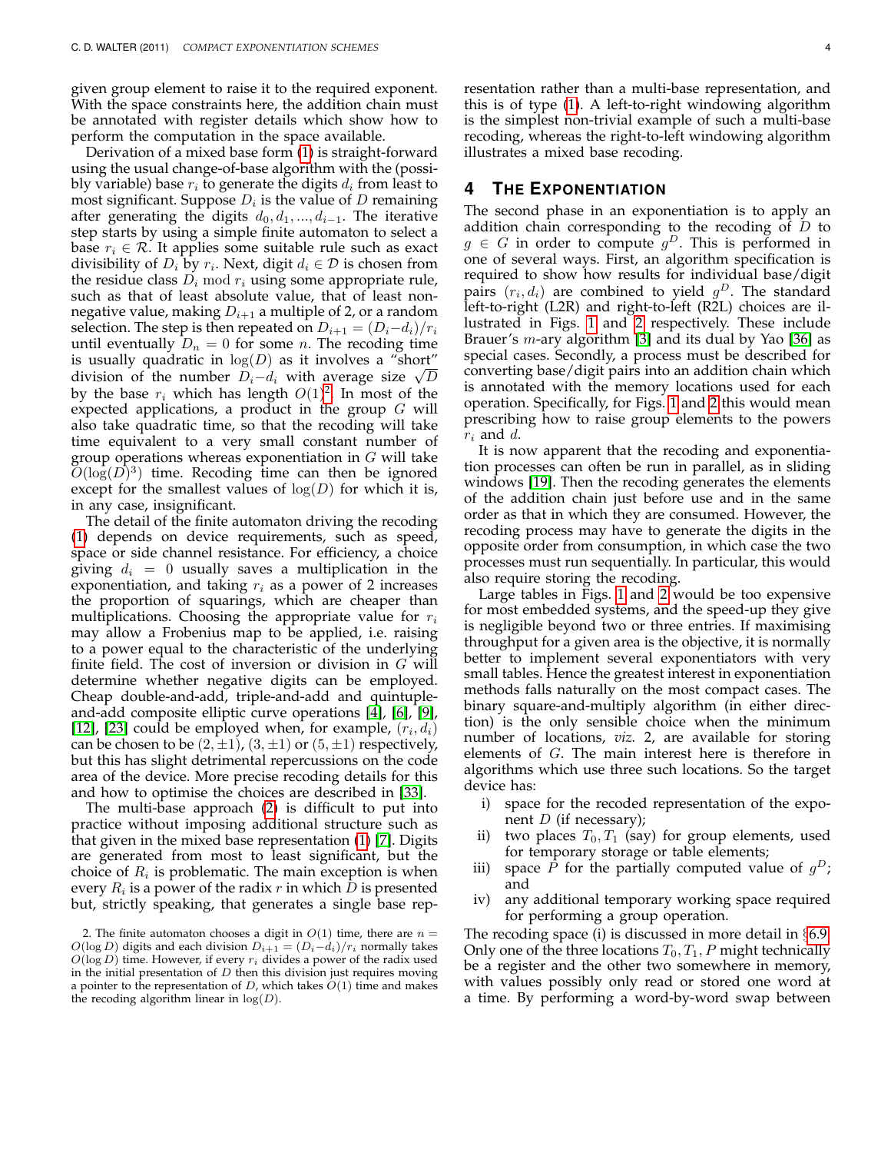given group element to raise it to the required exponent. With the space constraints here, the addition chain must be annotated with register details which show how to perform the computation in the space available.

Derivation of a mixed base form [\(1\)](#page-2-0) is straight-forward using the usual change-of-base algorithm with the (possibly variable) base  $r_i$  to generate the digits  $d_i$  from least to most significant. Suppose  $D_i$  is the value of  $D$  remaining after generating the digits  $d_0, d_1, ..., d_{i-1}$ . The iterative step starts by using a simple finite automaton to select a base  $r_i \in \mathcal{R}$ . It applies some suitable rule such as exact divisibility of  $D_i$  by  $r_i$ . Next, digit  $d_i \in \mathcal{D}$  is chosen from the residue class  $D_i \mod r_i$  using some appropriate rule, such as that of least absolute value, that of least nonnegative value, making  $D_{i+1}$  a multiple of 2, or a random selection. The step is then repeated on  $D_{i+1} = (D_i-d_i)/r_i$ until eventually  $D_n = 0$  for some *n*. The recoding time is usually quadratic in  $log(D)$  as it involves a "short" is usually quadratic in  $log(D)$  as it involves a short<br>division of the number  $D_i-d_i$  with average size  $\sqrt{D}$ by the base  $r_i$  which has length  $O(1)^2$  $O(1)^2$ . In most of the expected applications, a product in the group  $G$  will also take quadratic time, so that the recoding will take time equivalent to a very small constant number of group operations whereas exponentiation in  $G$  will take  $O(log(D)^3)$  time. Recoding time can then be ignored except for the smallest values of  $log(D)$  for which it is, in any case, insignificant.

The detail of the finite automaton driving the recoding [\(1\)](#page-2-0) depends on device requirements, such as speed, space or side channel resistance. For efficiency, a choice giving  $d_i = 0$  usually saves a multiplication in the exponentiation, and taking  $r_i$  as a power of 2 increases the proportion of squarings, which are cheaper than multiplications. Choosing the appropriate value for  $r_i$ may allow a Frobenius map to be applied, i.e. raising to a power equal to the characteristic of the underlying finite field. The cost of inversion or division in  $G$  will determine whether negative digits can be employed. Cheap double-and-add, triple-and-add and quintupleand-add composite elliptic curve operations [\[4\]](#page-13-1), [\[6\]](#page-13-2), [\[9\]](#page-13-3), [\[12\]](#page-13-4), [\[23\]](#page-13-5) could be employed when, for example,  $(r_i, d_i)$ can be chosen to be  $(2, \pm 1)$ ,  $(3, \pm 1)$  or  $(5, \pm 1)$  respectively, but this has slight detrimental repercussions on the code area of the device. More precise recoding details for this and how to optimise the choices are described in [\[33\]](#page-14-8).

The multi-base approach [\(2\)](#page-2-1) is difficult to put into practice without imposing additional structure such as that given in the mixed base representation [\(1\)](#page-2-0) [\[7\]](#page-13-14). Digits are generated from most to least significant, but the choice of  $R_i$  is problematic. The main exception is when every  $R_i$  is a power of the radix  $r$  in which  $D$  is presented but, strictly speaking, that generates a single base representation rather than a multi-base representation, and this is of type [\(1\)](#page-2-0). A left-to-right windowing algorithm is the simplest non-trivial example of such a multi-base recoding, whereas the right-to-left windowing algorithm illustrates a mixed base recoding.

## <span id="page-3-1"></span>**4 THE EXPONENTIATION**

The second phase in an exponentiation is to apply an addition chain corresponding to the recoding of  $D$  to  $g \in G$  in order to compute  $g^D$ . This is performed in one of several ways. First, an algorithm specification is required to show how results for individual base/digit pairs  $(r_i, d_i)$  are combined to yield  $g^D$ . The standard left-to-right (L2R) and right-to-left (R2L) choices are illustrated in Figs. [1](#page-4-0) and [2](#page-4-1) respectively. These include Brauer's m-ary algorithm [\[3\]](#page-13-10) and its dual by Yao [\[36\]](#page-14-6) as special cases. Secondly, a process must be described for converting base/digit pairs into an addition chain which is annotated with the memory locations used for each operation. Specifically, for Figs. [1](#page-4-0) and [2](#page-4-1) this would mean prescribing how to raise group elements to the powers  $r_i$  and  $d$ .

It is now apparent that the recoding and exponentiation processes can often be run in parallel, as in sliding windows [\[19\]](#page-13-11). Then the recoding generates the elements of the addition chain just before use and in the same order as that in which they are consumed. However, the recoding process may have to generate the digits in the opposite order from consumption, in which case the two processes must run sequentially. In particular, this would also require storing the recoding.

Large tables in Figs. [1](#page-4-0) and [2](#page-4-1) would be too expensive for most embedded systems, and the speed-up they give is negligible beyond two or three entries. If maximising throughput for a given area is the objective, it is normally better to implement several exponentiators with very small tables. Hence the greatest interest in exponentiation methods falls naturally on the most compact cases. The binary square-and-multiply algorithm (in either direction) is the only sensible choice when the minimum number of locations, *viz.* 2, are available for storing elements of G. The main interest here is therefore in algorithms which use three such locations. So the target device has:

- i) space for the recoded representation of the exponent  $D$  (if necessary);
- ii) two places  $T_0, T_1$  (say) for group elements, used for temporary storage or table elements;
- iii) space  $\tilde{P}$  for the partially computed value of  $g^D$ ; and
- iv) any additional temporary working space required for performing a group operation.

The recoding space (i) is discussed in more detail in §[6.9.](#page-11-0) Only one of the three locations  $T_0, T_1, P$  might technically be a register and the other two somewhere in memory, with values possibly only read or stored one word at a time. By performing a word-by-word swap between

<span id="page-3-0"></span><sup>2.</sup> The finite automaton chooses a digit in  $O(1)$  time, there are  $n =$  $O(\log D)$  digits and each division  $D_{i+1} = (D_i-d_i)/r_i$  normally takes  $O(\log D)$  time. However, if every  $r_i$  divides a power of the radix used in the initial presentation of  $D$  then this division just requires moving a pointer to the representation of  $D$ , which takes  $O(1)$  time and makes the recoding algorithm linear in  $log(D)$ .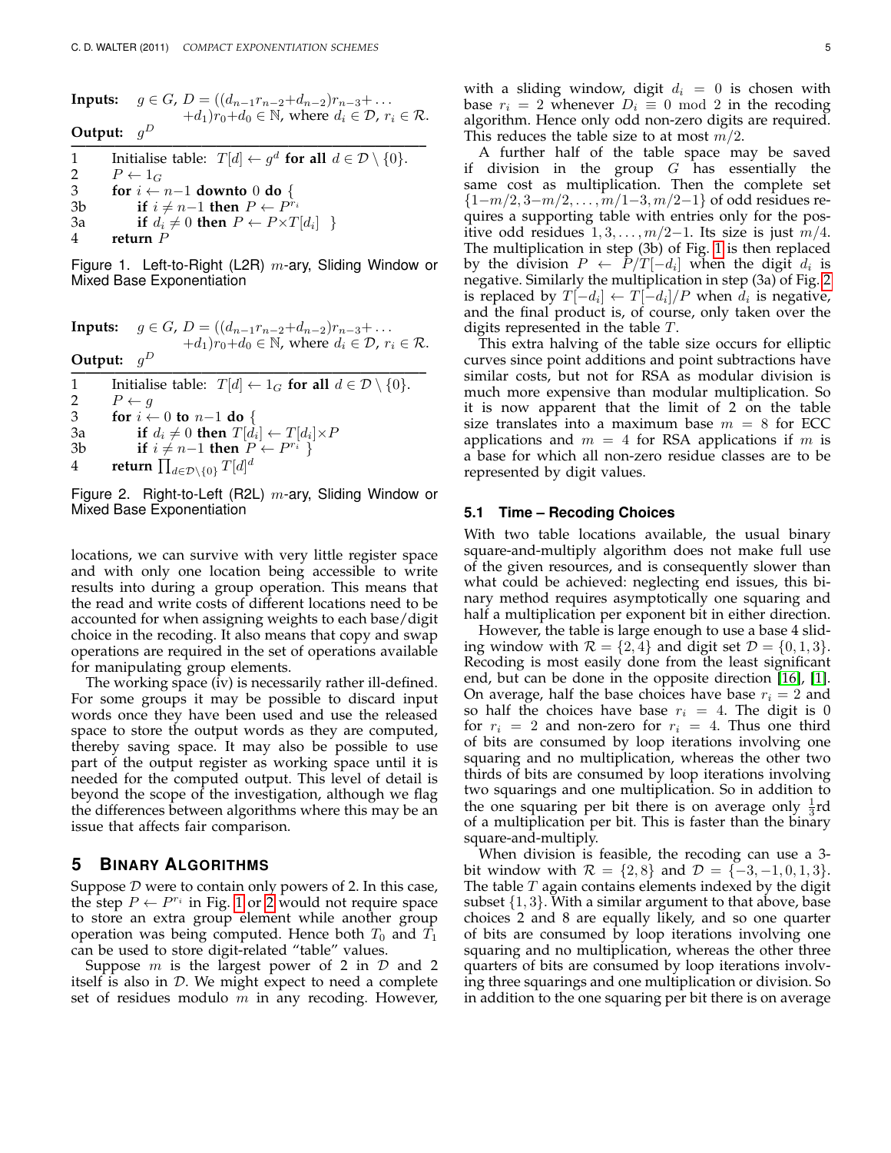**Inputs:**  $g \in G$ ,  $D = ((d_{n-1}r_{n-2}+d_{n-2})r_{n-3}+\ldots$  $+d_1)r_0+d_0 \in \mathbb{N}$ , where  $d_i \in \mathcal{D}$ ,  $r_i \in \mathcal{R}$ . **Output:** g D **————————————————————————–** 1 Initialise table:  $T[d] \leftarrow g^d$  for all  $d \in \mathcal{D} \setminus \{0\}.$ 2  $P \leftarrow 1_G$ <br>3 for  $i \leftarrow$ 3 **for** i ← n−1 **downto** 0 **do** { 3b **if**  $i \neq n-1$  **then**  $P \leftarrow P^{r_i}$ 3a **if**  $d_i \neq 0$  **then**  $P \leftarrow P \times T[d_i]$  }

4 **return** P

<span id="page-4-0"></span>Figure 1. Left-to-Right (L2R)  $m$ -ary, Sliding Window or Mixed Base Exponentiation

**InputStream:** 
$$
g \in G
$$
,  $D = ((d_{n-1}r_{n-2} + d_{n-2})r_{n-3} + \ldots + d_1)r_0 + d_0 \in \mathbb{N}$ , where  $d_i \in \mathcal{D}$ ,  $r_i \in \mathcal{R}$ . **Output:**  $g^D$ 

**1** Initialise table:  $T[d] \leftarrow 1_G$  for all  $d \in \mathcal{D} \setminus \{0\}.$ 2  $P \leftarrow g$ <br>3 for  $i \leftarrow$ **for**  $i \leftarrow 0$  **to**  $n-1$  **do** { 3a **if**  $d_i \neq 0$  **then**  $T[d_i] \leftarrow T[d_i] \times P$ 3b **if**  $i \neq n-1$  **then**  $P \leftarrow P^{r_i}$  } 4 **return**  $\prod_{d \in \mathcal{D} \setminus \{0\}} T[d]^d$ 

<span id="page-4-1"></span>Figure 2. Right-to-Left (R2L)  $m$ -ary, Sliding Window or Mixed Base Exponentiation

locations, we can survive with very little register space and with only one location being accessible to write results into during a group operation. This means that the read and write costs of different locations need to be accounted for when assigning weights to each base/digit choice in the recoding. It also means that copy and swap operations are required in the set of operations available for manipulating group elements.

The working space (iv) is necessarily rather ill-defined. For some groups it may be possible to discard input words once they have been used and use the released space to store the output words as they are computed, thereby saving space. It may also be possible to use part of the output register as working space until it is needed for the computed output. This level of detail is beyond the scope of the investigation, although we flag the differences between algorithms where this may be an issue that affects fair comparison.

# <span id="page-4-3"></span>**5 BINARY ALGORITHMS**

Suppose  $D$  were to contain only powers of 2. In this case, the step  $P \leftarrow P^{r_i}$  in Fig. [1](#page-4-0) or [2](#page-4-1) would not require space to store an extra group element while another group operation was being computed. Hence both  $T_0$  and  $\bar{T_1}$ can be used to store digit-related "table" values.

Suppose  $m$  is the largest power of 2 in  $D$  and 2 itself is also in  $D$ . We might expect to need a complete set of residues modulo  $m$  in any recoding. However, with a sliding window, digit  $d_i = 0$  is chosen with base  $r_i = 2$  whenever  $D_i \equiv 0 \mod 2$  in the recoding algorithm. Hence only odd non-zero digits are required. This reduces the table size to at most  $m/2$ .

A further half of the table space may be saved if division in the group  $G$  has essentially the same cost as multiplication. Then the complete set  ${1-m/2, 3-m/2, \ldots, m/1-3, m/2-1}$  of odd residues requires a supporting table with entries only for the positive odd residues  $1, 3, \ldots, m/2-1$ . Its size is just  $m/4$ . The multiplication in step (3b) of Fig. [1](#page-4-0) is then replaced by the division  $P$   $\leftarrow$   $\bar{P}/T[-d_i]$  when the digit  $d_i$  is negative. Similarly the multiplication in step (3a) of Fig. [2](#page-4-1) is replaced by  $T[-d_i] \leftarrow T[-d_i]/P$  when  $d_i$  is negative, and the final product is, of course, only taken over the digits represented in the table  $T$ .

This extra halving of the table size occurs for elliptic curves since point additions and point subtractions have similar costs, but not for RSA as modular division is much more expensive than modular multiplication. So it is now apparent that the limit of 2 on the table size translates into a maximum base  $m = 8$  for ECC applications and  $m = 4$  for RSA applications if m is a base for which all non-zero residue classes are to be represented by digit values.

#### <span id="page-4-2"></span>**5.1 Time – Recoding Choices**

With two table locations available, the usual binary square-and-multiply algorithm does not make full use of the given resources, and is consequently slower than what could be achieved: neglecting end issues, this binary method requires asymptotically one squaring and half a multiplication per exponent bit in either direction.

However, the table is large enough to use a base 4 sliding window with  $\mathcal{R} = \{2, 4\}$  and digit set  $\mathcal{D} = \{0, 1, 3\}.$ Recoding is most easily done from the least significant end, but can be done in the opposite direction [\[16\]](#page-13-12), [\[1\]](#page-13-13). On average, half the base choices have base  $r_i = 2$  and so half the choices have base  $r_i = 4$ . The digit is 0 for  $r_i = 2$  and non-zero for  $r_i = 4$ . Thus one third of bits are consumed by loop iterations involving one squaring and no multiplication, whereas the other two thirds of bits are consumed by loop iterations involving two squarings and one multiplication. So in addition to the one squaring per bit there is on average only  $\frac{1}{3}$ rd of a multiplication per bit. This is faster than the binary square-and-multiply.

When division is feasible, the recoding can use a 3 bit window with  $\mathcal{R} = \{2, 8\}$  and  $\mathcal{D} = \{-3, -1, 0, 1, 3\}.$ The table  $T$  again contains elements indexed by the digit subset  $\{1, 3\}$ . With a similar argument to that above, base choices 2 and 8 are equally likely, and so one quarter of bits are consumed by loop iterations involving one squaring and no multiplication, whereas the other three quarters of bits are consumed by loop iterations involving three squarings and one multiplication or division. So in addition to the one squaring per bit there is on average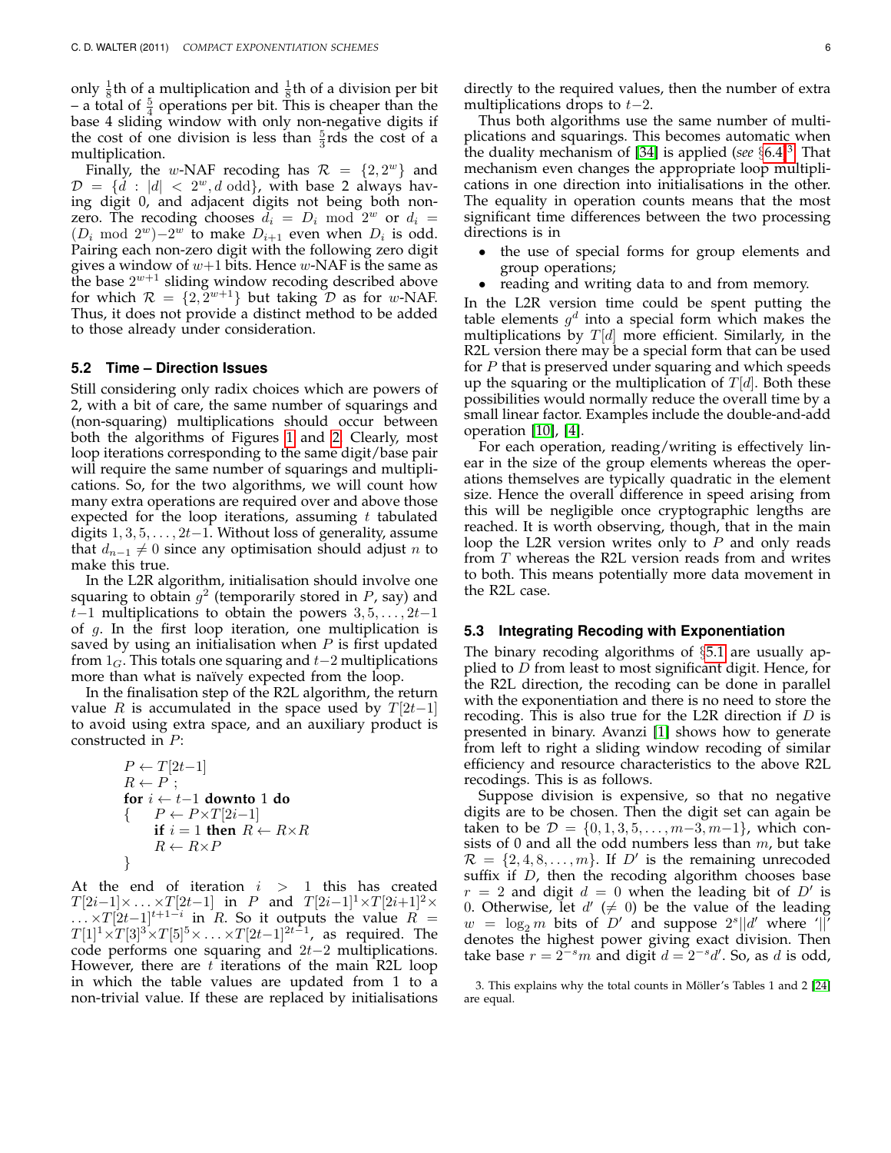only  $\frac{1}{8}$ th of a multiplication and  $\frac{1}{8}$ th of a division per bit – a total of  $\frac{5}{4}$  operations per bit. This is cheaper than the base 4 sliding window with only non-negative digits if the cost of one division is less than  $\frac{5}{3}$ rds the cost of a multiplication.

Finally, the w-NAF recoding has  $\mathcal{R} = \{2, 2^w\}$  and  $\mathcal{D} = \{ \dot{d} : |d| < 2^w, d \text{ odd} \}$ , with base 2 always having digit 0, and adjacent digits not being both nonzero. The recoding chooses  $d_i = D_i \mod 2^w$  or  $d_i =$  $(D_i \mod 2^w) - 2^w$  to make  $D_{i+1}$  even when  $D_i$  is odd. Pairing each non-zero digit with the following zero digit gives a window of  $w+1$  bits. Hence  $w$ -NAF is the same as the base  $2^{w+1}$  sliding window recoding described above for which  $\mathcal{R} = \{2, 2^{w+1}\}\$  but taking  $\mathcal{D}$  as for w-NAF. Thus, it does not provide a distinct method to be added to those already under consideration.

#### **5.2 Time – Direction Issues**

Still considering only radix choices which are powers of 2, with a bit of care, the same number of squarings and (non-squaring) multiplications should occur between both the algorithms of Figures [1](#page-4-0) and [2.](#page-4-1) Clearly, most loop iterations corresponding to the same digit/base pair will require the same number of squarings and multiplications. So, for the two algorithms, we will count how many extra operations are required over and above those expected for the loop iterations, assuming  $t$  tabulated digits  $1, 3, 5, \ldots, 2t-1$ . Without loss of generality, assume that  $d_{n-1} \neq 0$  since any optimisation should adjust *n* to make this true.

In the L2R algorithm, initialisation should involve one squaring to obtain  $g^2$  (temporarily stored in P, say) and t–1 multiplications to obtain the powers  $3, 5, \ldots, 2t-1$ of  $g$ . In the first loop iteration, one multiplication is saved by using an initialisation when  $P$  is first updated from  $1_G$ . This totals one squaring and  $t-2$  multiplications more than what is naïvely expected from the loop.

In the finalisation step of the R2L algorithm, the return value R is accumulated in the space used by  $T[2t-1]$ to avoid using extra space, and an auxiliary product is constructed in P:

$$
P \leftarrow T[2t-1]
$$
  
\n
$$
R \leftarrow P
$$
;  
\nfor  $i \leftarrow t-1$  **down** 1 **do**  
\n{
$$
P \leftarrow P \times T[2i-1]
$$
  
\nif  $i = 1$  **then**  $R \leftarrow R \times R$   
\n
$$
R \leftarrow R \times P
$$

At the end of iteration  $i > 1$  this has created  $T[2i-1] \times \ldots \times T[2t-1]$  in P and  $T[2i-1]^1 \times T[2i+1]^2 \times$  $\ldots$  ×  $T[2t-1]^{t+1-i}$  in R. So it outputs the value  $R =$  $T[1]^1\times T[3]^3\times T[5]^5\times\ldots\times T[2t-1]^{2t-1}$ , as required. The code performs one squaring and  $2t-2$  multiplications. However, there are  $t$  iterations of the main R2L loop in which the table values are updated from 1 to a non-trivial value. If these are replaced by initialisations directly to the required values, then the number of extra multiplications drops to  $t-2$ .

Thus both algorithms use the same number of multiplications and squarings. This becomes automatic when the duality mechanism of [\[34\]](#page-14-0) is applied (*see* §[6.4\)](#page-9-0)[3](#page-5-0) . That mechanism even changes the appropriate loop multiplications in one direction into initialisations in the other. The equality in operation counts means that the most significant time differences between the two processing directions is in

- the use of special forms for group elements and group operations;
- reading and writing data to and from memory.

In the L2R version time could be spent putting the table elements  $g^d$  into a special form which makes the multiplications by  $T[d]$  more efficient. Similarly, in the R2L version there may be a special form that can be used for  $P$  that is preserved under squaring and which speeds up the squaring or the multiplication of  $T[d]$ . Both these possibilities would normally reduce the overall time by a small linear factor. Examples include the double-and-add operation [\[10\]](#page-13-18), [\[4\]](#page-13-1).

For each operation, reading/writing is effectively linear in the size of the group elements whereas the operations themselves are typically quadratic in the element size. Hence the overall difference in speed arising from this will be negligible once cryptographic lengths are reached. It is worth observing, though, that in the main loop the L2R version writes only to  $P$  and only reads from T whereas the R2L version reads from and writes to both. This means potentially more data movement in the R2L case.

#### **5.3 Integrating Recoding with Exponentiation**

The binary recoding algorithms of §[5.1](#page-4-2) are usually applied to D from least to most significant digit. Hence, for the R2L direction, the recoding can be done in parallel with the exponentiation and there is no need to store the recoding. This is also true for the L2R direction if  $D$  is presented in binary. Avanzi [\[1\]](#page-13-13) shows how to generate from left to right a sliding window recoding of similar efficiency and resource characteristics to the above R2L recodings. This is as follows.

Suppose division is expensive, so that no negative digits are to be chosen. Then the digit set can again be taken to be  $\mathcal{D} = \{0, 1, 3, 5, \ldots, m-3, m-1\}$ , which consists of 0 and all the odd numbers less than  $m$ , but take  $\mathcal{R} = \{2, 4, 8, \ldots, m\}$ . If D' is the remaining unrecoded suffix if  $D$ , then the recoding algorithm chooses base  $r = 2$  and digit  $d = 0$  when the leading bit of  $D'$  is 0. Otherwise, let  $d' \neq 0$ ) be the value of the leading  $w = \log_2 m$  bits of D' and suppose  $2^s || d'$  where '||' denotes the highest power giving exact division. Then take base  $r = 2^{-s}m$  and digit  $d = 2^{-s}d'$ . So, as d is odd,

<span id="page-5-0"></span>3. This explains why the total counts in Möller's Tables 1 and 2 [\[24\]](#page-13-19) are equal.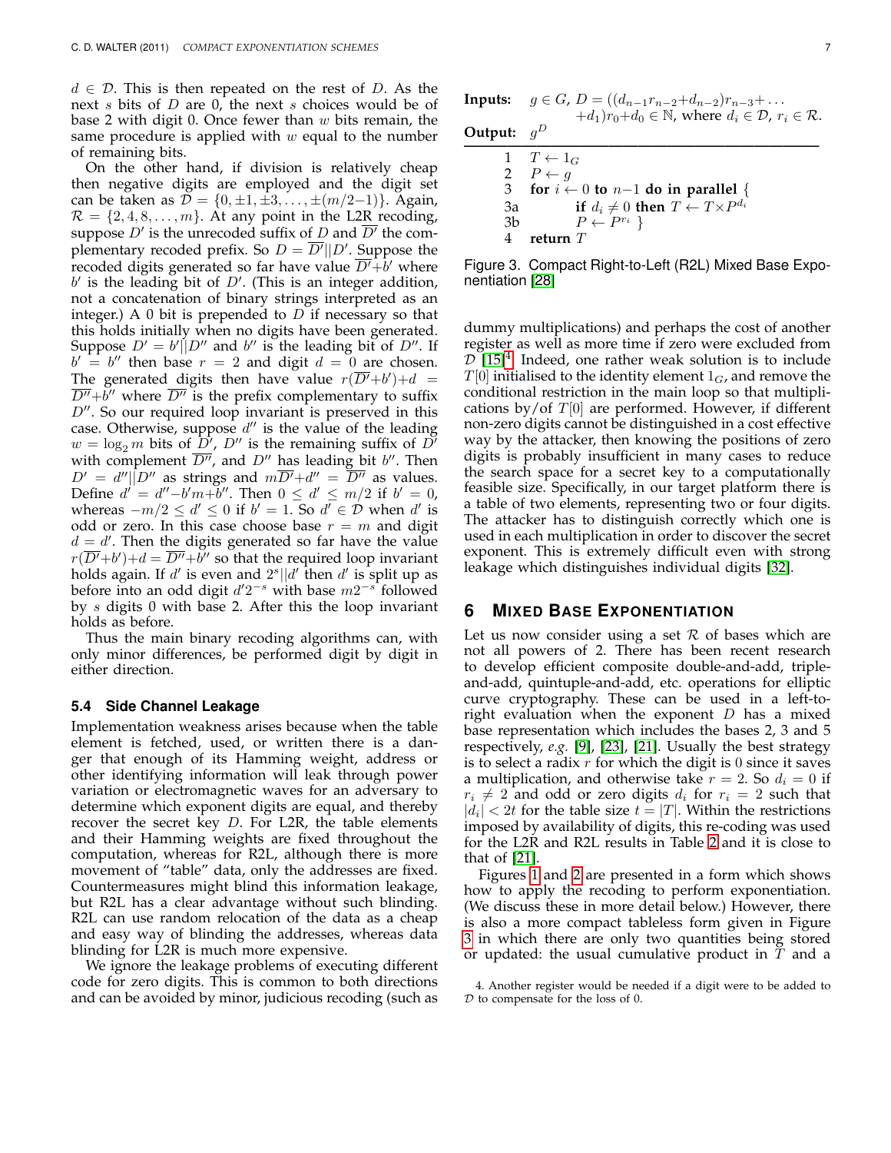$d \in \mathcal{D}$ . This is then repeated on the rest of D. As the next s bits of D are 0, the next s choices would be of base 2 with digit 0. Once fewer than  $w$  bits remain, the same procedure is applied with  $w$  equal to the number of remaining bits.

On the other hand, if division is relatively cheap then negative digits are employed and the digit set can be taken as  $D = \{0, \pm 1, \pm 3, ..., \pm (m/2-1)\}.$  Again,  $\mathcal{R} = \{2, 4, 8, \ldots, m\}$ . At any point in the L2R recoding, suppose  $D'$  is the unrecoded suffix of D and  $\overline{D'}$  the complementary recoded prefix. So  $D = \overline{D'}||D'$ . Suppose the recoded digits generated so far have value  $\overline{D'+b'}$  where  $b'$  is the leading bit of  $D'$ . (This is an integer addition, not a concatenation of binary strings interpreted as an integer.) A 0 bit is prepended to  $D$  if necessary so that this holds initially when no digits have been generated. Suppose  $D' = b'||D''$  and  $b''$  is the leading bit of  $D''$ . If  $b' = b''$  then base  $r = 2$  and digit  $d = 0$  are chosen. The generated digits then have value  $r(\overline{D'}+b')+d =$  $\overline{D''}$ + $\overline{b''}$  where  $\overline{D''}$  is the prefix complementary to suffix  $D''$ . So our required loop invariant is preserved in this case. Otherwise, suppose  $d''$  is the value of the leading  $w = \log_2 m$  bits of  $\overline{D}'$ ,  $D''$  is the remaining suffix of  $D''$ with complement  $\overline{D''}$ , and  $D''$  has leading bit b''. Then  $D' = d''|\tilde{D}''$  as strings and  $m\overline{D'}+d'' = \overline{D''}$  as values. Define  $d' = d''-b'm+b''$ . Then  $0 \le d' \le m/2$  if  $b' = 0$ , whereas  $-m/2 \le d' \le 0$  if  $b' = 1$ . So  $d' \in \mathcal{D}$  when  $d'$  is odd or zero. In this case choose base  $r = m$  and digit  $d = d'$ . Then the digits generated so far have the value  $r(\overline{D'}+b')+d=\overline{D''}+\overline{b}''$  so that the required loop invariant holds again. If  $d'$  is even and  $2^{s}||d'$  then  $d'$  is split up as before into an odd digit  $d'2^{-s}$  with base  $m2^{-s}$  followed by s digits 0 with base 2. After this the loop invariant holds as before.

Thus the main binary recoding algorithms can, with only minor differences, be performed digit by digit in either direction.

#### **5.4 Side Channel Leakage**

Implementation weakness arises because when the table element is fetched, used, or written there is a danger that enough of its Hamming weight, address or other identifying information will leak through power variation or electromagnetic waves for an adversary to determine which exponent digits are equal, and thereby recover the secret key  $D$ . For L2R, the table elements and their Hamming weights are fixed throughout the computation, whereas for R2L, although there is more movement of "table" data, only the addresses are fixed. Countermeasures might blind this information leakage, but R2L has a clear advantage without such blinding. R2L can use random relocation of the data as a cheap and easy way of blinding the addresses, whereas data blinding for L2R is much more expensive.

We ignore the leakage problems of executing different code for zero digits. This is common to both directions and can be avoided by minor, judicious recoding (such as **Output:**  $g^D$ **————————————————————————–**  $1 \quad T \leftarrow 1_G$ 2  $P \leftarrow g$ <br>3 for  $i \leftarrow$ for  $i \leftarrow 0$  to  $n-1$  do in parallel { 3a **if**  $d_i \neq 0$  **then**  $T \leftarrow T \times P^{d_i}$ 3b  $P \leftarrow P^{r_i}$ 4 **return** T

<span id="page-6-1"></span>Figure 3. Compact Right-to-Left (R2L) Mixed Base Exponentiation [\[28\]](#page-14-1)

dummy multiplications) and perhaps the cost of another register as well as more time if zero were excluded from  $D$  [\[15\]](#page-13-20)<sup>[4](#page-6-0)</sup>. Indeed, one rather weak solution is to include  $T[0]$  initialised to the identity element  $1_G$ , and remove the conditional restriction in the main loop so that multiplications by/of  $T[0]$  are performed. However, if different non-zero digits cannot be distinguished in a cost effective way by the attacker, then knowing the positions of zero digits is probably insufficient in many cases to reduce the search space for a secret key to a computationally feasible size. Specifically, in our target platform there is a table of two elements, representing two or four digits. The attacker has to distinguish correctly which one is used in each multiplication in order to discover the secret exponent. This is extremely difficult even with strong leakage which distinguishes individual digits [\[32\]](#page-14-9).

### <span id="page-6-2"></span>**6 MIXED BASE EXPONENTIATION**

Let us now consider using a set  $R$  of bases which are not all powers of 2. There has been recent research to develop efficient composite double-and-add, tripleand-add, quintuple-and-add, etc. operations for elliptic curve cryptography. These can be used in a left-toright evaluation when the exponent  $D$  has a mixed base representation which includes the bases 2, 3 and 5 respectively, *e.g.* [\[9\]](#page-13-3), [\[23\]](#page-13-5), [\[21\]](#page-13-15). Usually the best strategy is to select a radix  $r$  for which the digit is 0 since it saves a multiplication, and otherwise take  $r = 2$ . So  $d_i = 0$  if  $r_i \neq 2$  and odd or zero digits  $d_i$  for  $r_i = 2$  such that  $|d_i| < 2t$  for the table size  $t = |T|$ . Within the restrictions imposed by availability of digits, this re-coding was used for the L2R and R2L results in Table [2](#page-13-21) and it is close to that of [\[21\]](#page-13-15).

Figures [1](#page-4-0) and [2](#page-4-1) are presented in a form which shows how to apply the recoding to perform exponentiation. (We discuss these in more detail below.) However, there is also a more compact tableless form given in Figure [3](#page-6-1) in which there are only two quantities being stored or updated: the usual cumulative product in  $T$  and a

<span id="page-6-0"></span><sup>4.</sup> Another register would be needed if a digit were to be added to D to compensate for the loss of 0.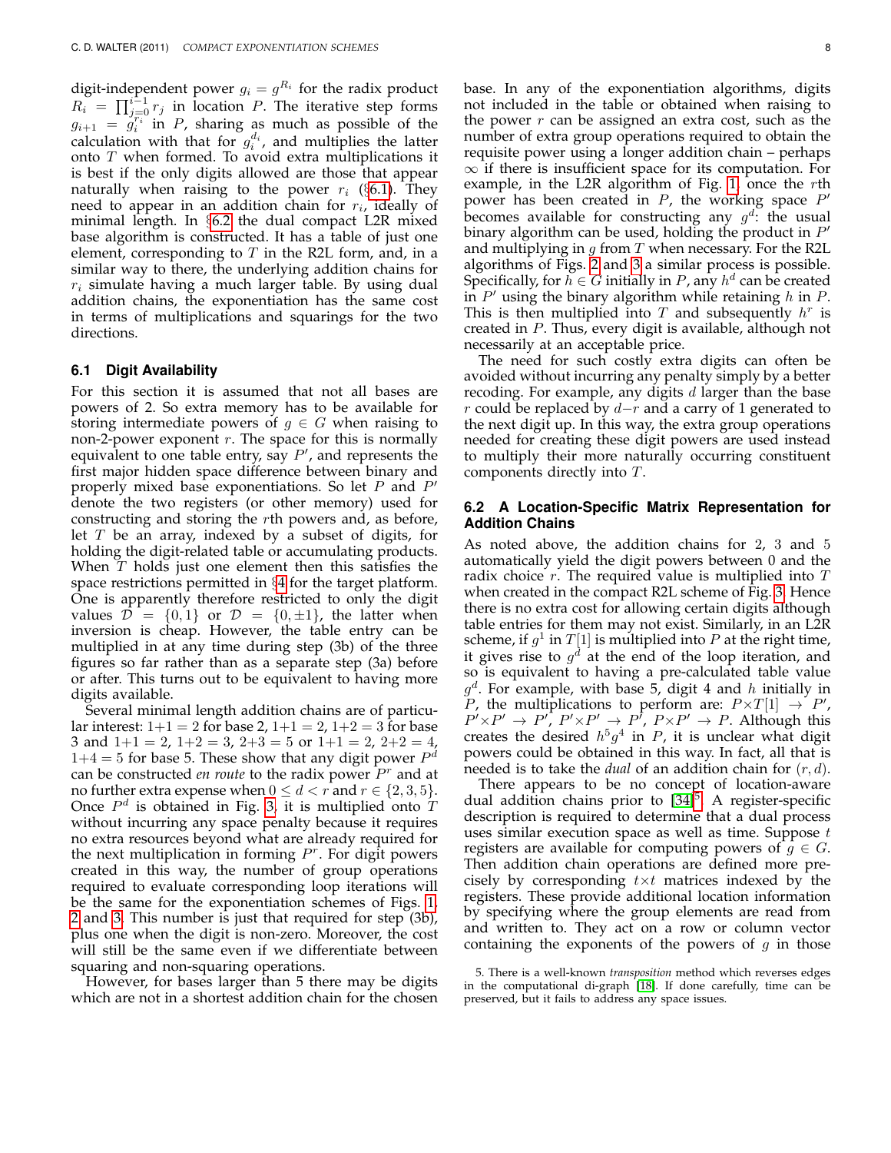digit-independent power  $g_i = g^{R_i}$  for the radix product  $R_i = \prod_{j=0}^{i-1} r_j$  in location P. The iterative step forms  $g_{i+1} = g_i^{\overline{r_i}}$  in *P*, sharing as much as possible of the calculation with that for  $g_i^{d_i}$ , and multiplies the latter onto T when formed. To avoid extra multiplications it is best if the only digits allowed are those that appear naturally when raising to the power  $r_i$  (§[6.1\)](#page-7-0). They need to appear in an addition chain for  $r_i$ , ideally of minimal length. In §[6.2](#page-7-1) the dual compact L2R mixed base algorithm is constructed. It has a table of just one element, corresponding to  $T$  in the R2L form, and, in a similar way to there, the underlying addition chains for  $r_i$  simulate having a much larger table. By using dual addition chains, the exponentiation has the same cost in terms of multiplications and squarings for the two directions.

#### <span id="page-7-0"></span>**6.1 Digit Availability**

For this section it is assumed that not all bases are powers of 2. So extra memory has to be available for storing intermediate powers of  $g \in G$  when raising to non-2-power exponent  $r$ . The space for this is normally equivalent to one table entry, say  $P'$ , and represents the first major hidden space difference between binary and properly mixed base exponentiations. So let  $P$  and  $P'$ denote the two registers (or other memory) used for constructing and storing the rth powers and, as before, let  $T$  be an array, indexed by a subset of digits, for holding the digit-related table or accumulating products. When  $T$  holds just one element then this satisfies the space restrictions permitted in §[4](#page-3-1) for the target platform. One is apparently therefore restricted to only the digit values  $\mathcal{D} = \{0, 1\}$  or  $\mathcal{D} = \{0, \pm 1\}$ , the latter when inversion is cheap. However, the table entry can be multiplied in at any time during step (3b) of the three figures so far rather than as a separate step (3a) before or after. This turns out to be equivalent to having more digits available.

Several minimal length addition chains are of particular interest:  $1+1 = 2$  for base 2,  $1+1 = 2$ ,  $1+2 = 3$  for base 3 and  $1+1 = 2$ ,  $1+2 = 3$ ,  $2+3 = 5$  or  $1+1 = 2$ ,  $2+2 = 4$ ,  $1+4=5$  for base 5. These show that any digit power  $P^d$ can be constructed *en route* to the radix power  $P<sup>r</sup>$  and at no further extra expense when  $0 \leq d < r$  and  $r \in \{2, 3, 5\}$ . Once  $P<sup>d</sup>$  is obtained in Fig. [3,](#page-6-1) it is multiplied onto T without incurring any space penalty because it requires no extra resources beyond what are already required for the next multiplication in forming  $P<sup>r</sup>$ . For digit powers created in this way, the number of group operations required to evaluate corresponding loop iterations will be the same for the exponentiation schemes of Figs. [1,](#page-4-0) [2](#page-4-1) and [3.](#page-6-1) This number is just that required for step (3b), plus one when the digit is non-zero. Moreover, the cost will still be the same even if we differentiate between squaring and non-squaring operations.

However, for bases larger than 5 there may be digits which are not in a shortest addition chain for the chosen base. In any of the exponentiation algorithms, digits not included in the table or obtained when raising to the power  $r$  can be assigned an extra cost, such as the number of extra group operations required to obtain the requisite power using a longer addition chain – perhaps  $\infty$  if there is insufficient space for its computation. For example, in the L2R algorithm of Fig. [1,](#page-4-0) once the rth power has been created in  $P$ , the working space  $P'$ becomes available for constructing any  $g^{d}$ : the usual binary algorithm can be used, holding the product in  $P'$ and multiplying in  $g$  from  $T$  when necessary. For the R2L algorithms of Figs. [2](#page-4-1) and [3](#page-6-1) a similar process is possible. Specifically, for  $h \in G$  initially in P, any  $h^d$  can be created in  $P'$  using the binary algorithm while retaining h in P. This is then multiplied into T and subsequently  $h^r$  is created in P. Thus, every digit is available, although not necessarily at an acceptable price.

The need for such costly extra digits can often be avoided without incurring any penalty simply by a better recoding. For example, any digits  $d$  larger than the base r could be replaced by  $d-r$  and a carry of 1 generated to the next digit up. In this way, the extra group operations needed for creating these digit powers are used instead to multiply their more naturally occurring constituent components directly into T.

## <span id="page-7-1"></span>**6.2 A Location-Specific Matrix Representation for Addition Chains**

As noted above, the addition chains for 2, 3 and 5 automatically yield the digit powers between 0 and the radix choice  $r$ . The required value is multiplied into  $T$ when created in the compact R2L scheme of Fig. [3.](#page-6-1) Hence there is no extra cost for allowing certain digits although table entries for them may not exist. Similarly, in an L2R scheme, if  $g^1$  in  $T[1]$  is multiplied into  $P$  at the right time, it gives rise to  $g^d$  at the end of the loop iteration, and so is equivalent to having a pre-calculated table value  $g^d$ . For example, with base 5, digit 4 and h initially in P, the multiplications to perform are:  $P \times T[1] \rightarrow P'$ ,  $P' \times P' \rightarrow P', P' \times P' \rightarrow P', P \times P' \rightarrow P$ . Although this creates the desired  $h^5g^4$  in P, it is unclear what digit powers could be obtained in this way. In fact, all that is needed is to take the *dual* of an addition chain for (r, d).

There appears to be no concept of location-aware dual addition chains prior to [\[34\]](#page-14-0)<sup>[5](#page-7-2)</sup>. A register-specific description is required to determine that a dual process uses similar execution space as well as time. Suppose  $t$ registers are available for computing powers of  $g \in G$ . Then addition chain operations are defined more precisely by corresponding  $t \times t$  matrices indexed by the registers. These provide additional location information by specifying where the group elements are read from and written to. They act on a row or column vector containing the exponents of the powers of  $g$  in those

<span id="page-7-2"></span><sup>5.</sup> There is a well-known *transposition* method which reverses edges in the computational di-graph [\[18\]](#page-13-7). If done carefully, time can be preserved, but it fails to address any space issues.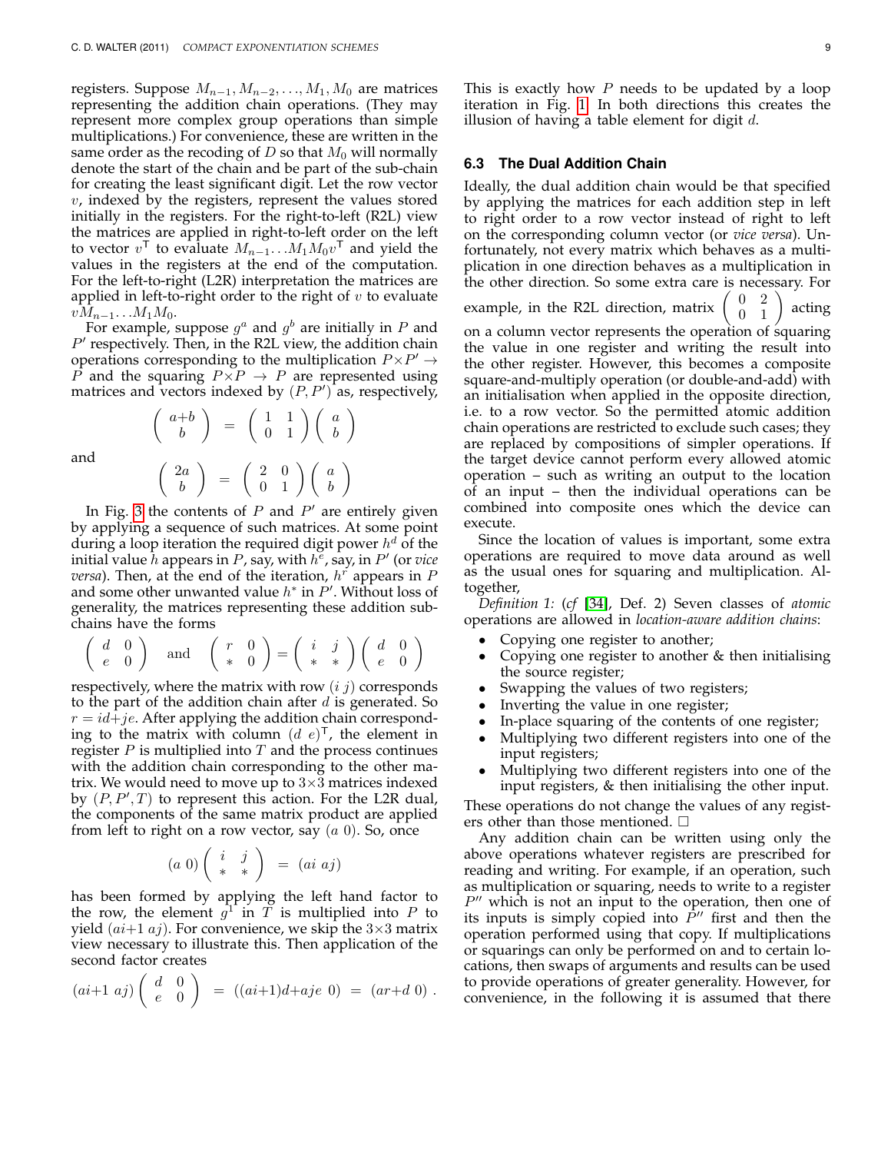registers. Suppose  $M_{n-1}$ ,  $M_{n-2}$ , ...,  $M_1$ ,  $M_0$  are matrices representing the addition chain operations. (They may represent more complex group operations than simple multiplications.) For convenience, these are written in the same order as the recoding of D so that  $M_0$  will normally denote the start of the chain and be part of the sub-chain for creating the least significant digit. Let the row vector  $v$ , indexed by the registers, represent the values stored initially in the registers. For the right-to-left (R2L) view the matrices are applied in right-to-left order on the left to vector  $v^{\mathsf{T}}$  to evaluate  $M_{n-1}$ ... $M_1 M_0 v^{\mathsf{T}}$  and yield the values in the registers at the end of the computation. For the left-to-right (L2R) interpretation the matrices are applied in left-to-right order to the right of  $v$  to evaluate  $vM_{n-1}$ . . . $M_1M_0$ .

For example, suppose  $g^a$  and  $g^b$  are initially in P and  $P'$  respectively. Then, in the R2L view, the addition chain operations corresponding to the multiplication  $P \times P' \rightarrow$ P and the squaring  $P\overline{X}P \rightarrow P$  are represented using matrices and vectors indexed by  $(P, P')$  as, respectively,

and

$$
\begin{pmatrix} a+b \\ b \end{pmatrix} = \begin{pmatrix} 1 & 1 \\ 0 & 1 \end{pmatrix} \begin{pmatrix} a \\ b \end{pmatrix}
$$

$$
\begin{pmatrix} 2a \\ b \end{pmatrix} = \begin{pmatrix} 2 & 0 \\ 0 & 1 \end{pmatrix} \begin{pmatrix} a \\ b \end{pmatrix}
$$

 $\setminus$ 

 $\int a+b$ 

In Fig. [3](#page-6-1) the contents of  $P$  and  $P'$  are entirely given by applying a sequence of such matrices. At some point during a loop iteration the required digit power  $h^d$  of the initial value  $\hat{h}$  appears in  $P$ , say, with  $h^{\overline{e}}$ , say, in  $P'$  (or vice *versa*). Then, at the end of the iteration,  $h^r$  appears in  $P$ and some other unwanted value  $h^*$  in  $P'$ . Without loss of generality, the matrices representing these addition subchains have the forms

$$
\left(\begin{array}{cc} d & 0 \\ e & 0 \end{array}\right) \quad \text{and} \quad \left(\begin{array}{cc} r & 0 \\ * & 0 \end{array}\right) = \left(\begin{array}{cc} i & j \\ * & * \end{array}\right) \left(\begin{array}{cc} d & 0 \\ e & 0 \end{array}\right)
$$

respectively, where the matrix with row  $(i, j)$  corresponds to the part of the addition chain after  $d$  is generated. So  $r = id + je$ . After applying the addition chain corresponding to the matrix with column  $(d e)^{\mathsf{T}}$ , the element in register  $P$  is multiplied into  $T$  and the process continues with the addition chain corresponding to the other matrix. We would need to move up to  $3\times3$  matrices indexed by  $(P, P', T)$  to represent this action. For the L2R dual, the components of the same matrix product are applied from left to right on a row vector, say  $(a\ 0)$ . So, once

$$
(a\ 0)\left(\begin{array}{cc}i&j\\ *&*\end{array}\right) = (ai\ aj)
$$

has been formed by applying the left hand factor to the row, the element  $g^1$  in  $\tilde{T}$  is multiplied into P to yield  $(ai+1 aj)$ . For convenience, we skip the  $3\times3$  matrix view necessary to illustrate this. Then application of the second factor creates

$$
(ai+1\;aj)\left(\begin{array}{cc} d & 0 \\ e & 0 \end{array}\right) = ((ai+1)d+aje\;0) = (ar+d\;0) .
$$

#### **6.3 The Dual Addition Chain**

Ideally, the dual addition chain would be that specified by applying the matrices for each addition step in left to right order to a row vector instead of right to left on the corresponding column vector (or *vice versa*). Unfortunately, not every matrix which behaves as a multiplication in one direction behaves as a multiplication in the other direction. So some extra care is necessary. For example, in the R2L direction, matrix  $\left(\begin{array}{cc} 0 & 2 \\ 0 & 1 \end{array}\right)$ acting on a column vector represents the operation of squaring the value in one register and writing the result into the other register. However, this becomes a composite square-and-multiply operation (or double-and-add) with an initialisation when applied in the opposite direction, i.e. to a row vector. So the permitted atomic addition chain operations are restricted to exclude such cases; they are replaced by compositions of simpler operations. If the target device cannot perform every allowed atomic operation – such as writing an output to the location of an input – then the individual operations can be combined into composite ones which the device can execute.

Since the location of values is important, some extra operations are required to move data around as well as the usual ones for squaring and multiplication. Altogether,

*Definition 1:* (*cf* [\[34\]](#page-14-0), Def. 2) Seven classes of *atomic* operations are allowed in *location-aware addition chains*:

- Copying one register to another;
- Copying one register to another & then initialising the source register;
- Swapping the values of two registers;
- Inverting the value in one register;
- In-place squaring of the contents of one register;
- Multiplying two different registers into one of the input registers;
- Multiplying two different registers into one of the input registers, & then initialising the other input.

These operations do not change the values of any registers other than those mentioned.  $\square$ 

Any addition chain can be written using only the above operations whatever registers are prescribed for reading and writing. For example, if an operation, such as multiplication or squaring, needs to write to a register  $P''$  which is not an input to the operation, then one of its inputs is simply copied into  $\tilde{P}$ " first and then the operation performed using that copy. If multiplications or squarings can only be performed on and to certain locations, then swaps of arguments and results can be used to provide operations of greater generality. However, for convenience, in the following it is assumed that there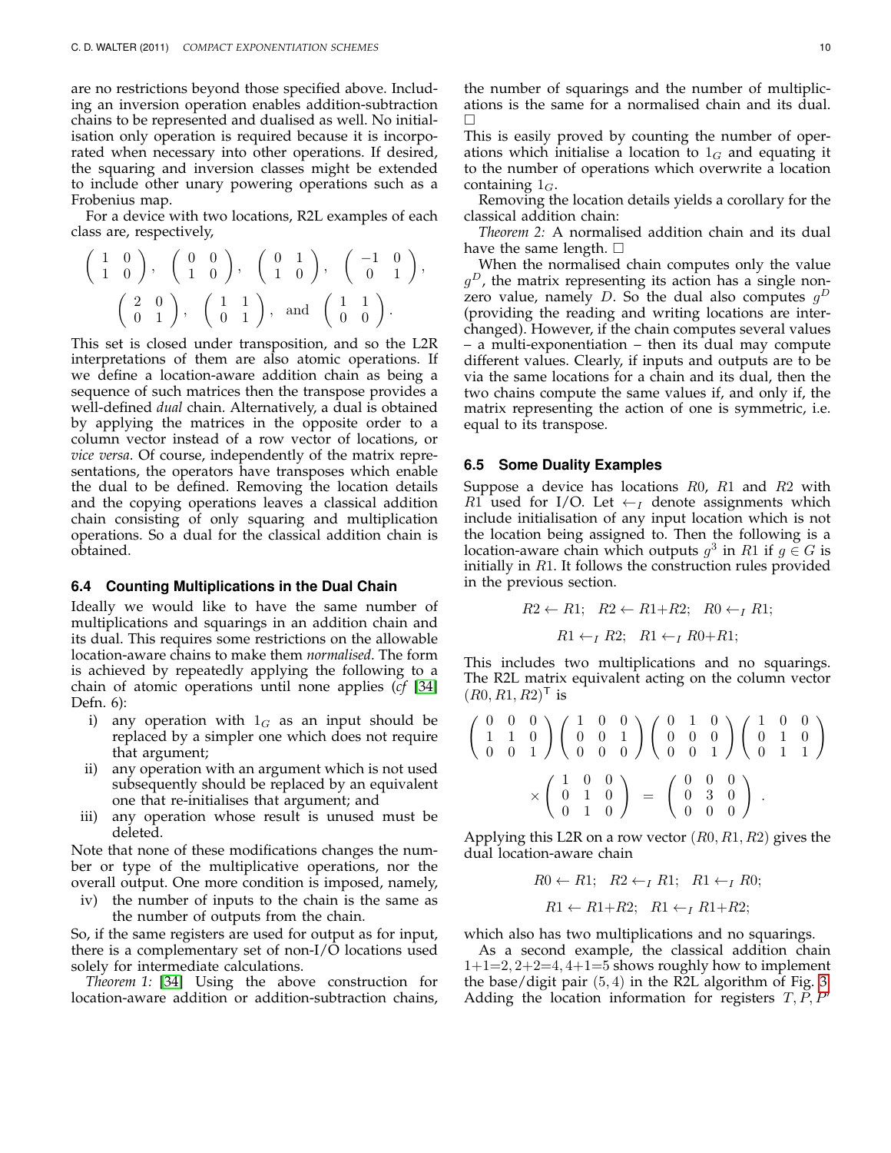are no restrictions beyond those specified above. Including an inversion operation enables addition-subtraction chains to be represented and dualised as well. No initialisation only operation is required because it is incorporated when necessary into other operations. If desired, the squaring and inversion classes might be extended to include other unary powering operations such as a Frobenius map.

For a device with two locations, R2L examples of each class are, respectively,

$$
\begin{pmatrix} 1 & 0 \ 1 & 0 \end{pmatrix}, \quad \begin{pmatrix} 0 & 0 \ 1 & 0 \end{pmatrix}, \quad \begin{pmatrix} 0 & 1 \ 1 & 0 \end{pmatrix}, \quad \begin{pmatrix} -1 & 0 \ 0 & 1 \end{pmatrix}, \\ \begin{pmatrix} 2 & 0 \ 0 & 1 \end{pmatrix}, \quad \begin{pmatrix} 1 & 1 \ 0 & 1 \end{pmatrix}, \text{ and } \begin{pmatrix} 1 & 1 \ 0 & 0 \end{pmatrix}.
$$

This set is closed under transposition, and so the L2R interpretations of them are also atomic operations. If we define a location-aware addition chain as being a sequence of such matrices then the transpose provides a well-defined *dual* chain. Alternatively, a dual is obtained by applying the matrices in the opposite order to a column vector instead of a row vector of locations, or *vice versa*. Of course, independently of the matrix representations, the operators have transposes which enable the dual to be defined. Removing the location details and the copying operations leaves a classical addition chain consisting of only squaring and multiplication operations. So a dual for the classical addition chain is obtained.

#### <span id="page-9-0"></span>**6.4 Counting Multiplications in the Dual Chain**

Ideally we would like to have the same number of multiplications and squarings in an addition chain and its dual. This requires some restrictions on the allowable location-aware chains to make them *normalised*. The form is achieved by repeatedly applying the following to a chain of atomic operations until none applies (*cf* [\[34\]](#page-14-0) Defn. 6):

- i) any operation with  $1_G$  as an input should be replaced by a simpler one which does not require that argument;
- ii) any operation with an argument which is not used subsequently should be replaced by an equivalent one that re-initialises that argument; and
- iii) any operation whose result is unused must be deleted.

Note that none of these modifications changes the number or type of the multiplicative operations, nor the overall output. One more condition is imposed, namely,

iv) the number of inputs to the chain is the same as the number of outputs from the chain.

So, if the same registers are used for output as for input, there is a complementary set of non-I/O locations used solely for intermediate calculations.

*Theorem 1:* [\[34\]](#page-14-0) Using the above construction for location-aware addition or addition-subtraction chains,

the number of squarings and the number of multiplications is the same for a normalised chain and its dual.  $\Box$ 

This is easily proved by counting the number of operations which initialise a location to  $1_G$  and equating it to the number of operations which overwrite a location containing  $1_G$ .

Removing the location details yields a corollary for the classical addition chain:

*Theorem 2:* A normalised addition chain and its dual have the same length.  $\square$ 

When the normalised chain computes only the value  $g^D$ , the matrix representing its action has a single nonzero value, namely D. So the dual also computes  $g^D$ (providing the reading and writing locations are interchanged). However, if the chain computes several values – a multi-exponentiation – then its dual may compute different values. Clearly, if inputs and outputs are to be via the same locations for a chain and its dual, then the two chains compute the same values if, and only if, the matrix representing the action of one is symmetric, i.e. equal to its transpose.

#### <span id="page-9-1"></span>**6.5 Some Duality Examples**

Suppose a device has locations  $R_0$ ,  $R_1$  and  $R_2$  with R1 used for I/O. Let  $\leftarrow_I$  denote assignments which include initialisation of any input location which is not the location being assigned to. Then the following is a location-aware chain which outputs  $g^3$  in  $R1$  if  $g\in G$  is initially in  $R1$ . It follows the construction rules provided in the previous section.

$$
R2 \leftarrow R1; R2 \leftarrow R1 + R2; R0 \leftarrow_I R1;
$$
  
 $R1 \leftarrow_I R2; R1 \leftarrow_I R0 + R1;$ 

This includes two multiplications and no squarings. The R2L matrix equivalent acting on the column vector  $(R0, R1, R2)^{T}$  is

$$
\begin{pmatrix}\n0 & 0 & 0 \\
1 & 1 & 0 \\
0 & 0 & 1\n\end{pmatrix}\n\begin{pmatrix}\n1 & 0 & 0 \\
0 & 0 & 1 \\
0 & 0 & 0\n\end{pmatrix}\n\begin{pmatrix}\n0 & 1 & 0 \\
0 & 0 & 0 \\
0 & 0 & 1\n\end{pmatrix}\n\begin{pmatrix}\n1 & 0 & 0 \\
0 & 1 & 0 \\
0 & 1 & 1\n\end{pmatrix}
$$
\n
$$
\times \begin{pmatrix}\n1 & 0 & 0 \\
0 & 1 & 0 \\
0 & 1 & 0\n\end{pmatrix} = \begin{pmatrix}\n0 & 0 & 0 \\
0 & 3 & 0 \\
0 & 0 & 0\n\end{pmatrix}.
$$

Applying this L2R on a row vector  $(R0, R1, R2)$  gives the dual location-aware chain

$$
R0 \leftarrow R1; \quad R2 \leftarrow_I R1; \quad R1 \leftarrow_I R0; R1 \leftarrow R1 + R2; \quad R1 \leftarrow_I R1 + R2;
$$

which also has two multiplications and no squarings.

As a second example, the classical addition chain  $1+1=2$ ,  $2+2=4$ ,  $4+1=5$  shows roughly how to implement the base/digit pair (5, 4) in the R2L algorithm of Fig. [3.](#page-6-1) Adding the location information for registers  $T, P, P'$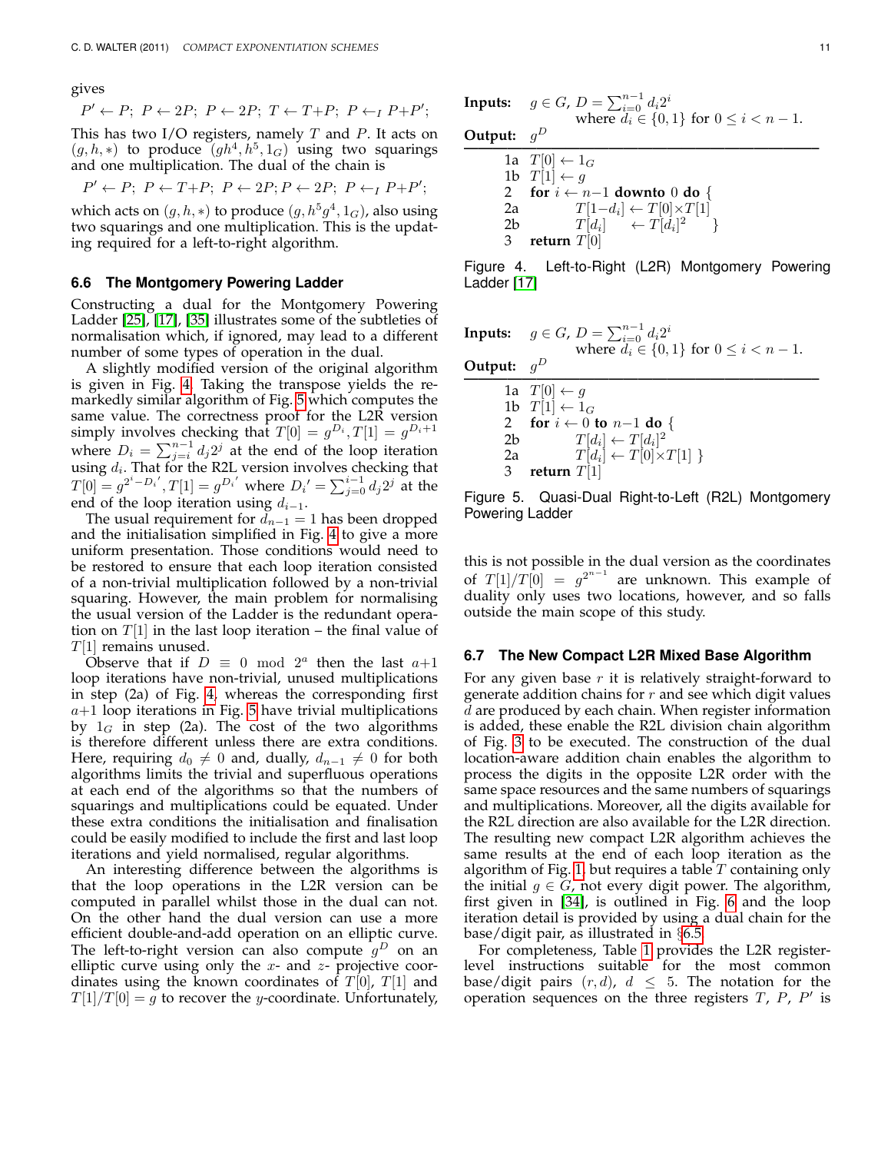gives

$$
P' \leftarrow P; P \leftarrow 2P; P \leftarrow 2P; T \leftarrow T + P; P \leftarrow_I P + P';
$$

This has two I/O registers, namely  $T$  and  $P$ . It acts on  $(g, h, *)$  to produce  $(gh<sup>4</sup>, h<sup>5</sup>, 1<sub>G</sub>)$  using two squarings and one multiplication. The dual of the chain is

$$
P' \leftarrow P; \; P \leftarrow T+P; \; P \leftarrow 2P; P \leftarrow 2P; \; P \leftarrow_I P + P';
$$

which acts on  $(g,h,*)$  to produce  $(g,h^5g^4,1_G)$ , also using two squarings and one multiplication. This is the updating required for a left-to-right algorithm.

#### **6.6 The Montgomery Powering Ladder**

Constructing a dual for the Montgomery Powering Ladder [\[25\]](#page-13-22), [\[17\]](#page-13-23), [\[35\]](#page-14-10) illustrates some of the subtleties of normalisation which, if ignored, may lead to a different number of some types of operation in the dual.

A slightly modified version of the original algorithm is given in Fig. [4.](#page-10-0) Taking the transpose yields the remarkedly similar algorithm of Fig. [5](#page-10-1) which computes the same value. The correctness proof for the L2R version simply involves checking that  $T[0] = g^{D_i}, T[1] = g^{D_i+1}$ where  $D_i = \sum_{j=i}^{n-1} d_j 2^j$  at the end of the loop iteration using  $d_i$ . That for the R2L version involves checking that  $T[0] = g^{2^i - D_i}$ ,  $T[1] = g^{D_i}$  where  $D_i' = \sum_{j=0}^{i-1} d_j 2^j$  at the end of the loop iteration using  $d_{i-1}$ .

The usual requirement for  $d_{n-1} = 1$  has been dropped and the initialisation simplified in Fig. [4](#page-10-0) to give a more uniform presentation. Those conditions would need to be restored to ensure that each loop iteration consisted of a non-trivial multiplication followed by a non-trivial squaring. However, the main problem for normalising the usual version of the Ladder is the redundant operation on  $T[1]$  in the last loop iteration – the final value of  $T[1]$  remains unused.

Observe that if  $D \equiv 0 \mod 2^a$  then the last  $a+1$ loop iterations have non-trivial, unused multiplications in step (2a) of Fig. [4,](#page-10-0) whereas the corresponding first  $a+1$  loop iterations in Fig. [5](#page-10-1) have trivial multiplications by  $1_G$  in step (2a). The cost of the two algorithms is therefore different unless there are extra conditions. Here, requiring  $d_0 \neq 0$  and, dually,  $d_{n-1} \neq 0$  for both algorithms limits the trivial and superfluous operations at each end of the algorithms so that the numbers of squarings and multiplications could be equated. Under these extra conditions the initialisation and finalisation could be easily modified to include the first and last loop iterations and yield normalised, regular algorithms.

An interesting difference between the algorithms is that the loop operations in the L2R version can be computed in parallel whilst those in the dual can not. On the other hand the dual version can use a more efficient double-and-add operation on an elliptic curve. The left-to-right version can also compute  $g^D$  on an elliptic curve using only the  $x$ - and  $z$ - projective coordinates using the known coordinates of  $T[0]$ ,  $T[1]$  and  $T[1]/T[0] = g$  to recover the y-coordinate. Unfortunately,

**InputStream:** 
$$
g \in G
$$
,  $D = \sum_{i=0}^{n-1} d_i 2^i$   
where  $d_i \in \{0, 1\}$  for  $0 \le i < n-1$ .

**Output:**  $g^D$ **————————————————————————–** 1a  $T[0] \leftarrow 1_G$ 1b  $T[1] \leftarrow g$ 2 **for**  $i \leftarrow n-1$  **downto** 0 **do** {<br>2a  $T[1-d_i] \leftarrow T[0] \times T[1]$ 2a  $T[1-d_i] \leftarrow T[0] \times T[1]$ 2b  $T[d_i]$  $] \leftarrow T[d_i]^2 \}$ 3 **return** T[0]

<span id="page-10-0"></span>Figure 4. Left-to-Right (L2R) Montgomery Powering Ladder [\[17\]](#page-13-23)

**InputStream:** 
$$
g \in G
$$
,  $D = \sum_{i=0}^{n-1} d_i 2^i$   
where  $d_i \in \{0, 1\}$  for  $0 \le i < n - 1$ .

**Output:** g D

**————————————————————————–** 1a  $T[0] \leftarrow g$ 1b  $T[1] \leftarrow 1_G$ <br>2 for  $i \leftarrow 0$ 2 **for**  $i \leftarrow 0$  **to**  $n-1$  **do** {<br>2b  $T[d_i] \leftarrow T[d_i]^2$ 2b  $T[d_i] \leftarrow T[d_i]^2$ 2a  $T[d_i] \leftarrow T[0] \times T[1]$  } 3 **return** T[1]

<span id="page-10-1"></span>Figure 5. Quasi-Dual Right-to-Left (R2L) Montgomery Powering Ladder

this is not possible in the dual version as the coordinates of  $T[1]/T[0] = g^{2^{n-1}}$  are unknown. This example of duality only uses two locations, however, and so falls outside the main scope of this study.

#### **6.7 The New Compact L2R Mixed Base Algorithm**

For any given base  $r$  it is relatively straight-forward to generate addition chains for  $r$  and see which digit values  $\overline{d}$  are produced by each chain. When register information is added, these enable the R2L division chain algorithm of Fig. [3](#page-6-1) to be executed. The construction of the dual location-aware addition chain enables the algorithm to process the digits in the opposite L2R order with the same space resources and the same numbers of squarings and multiplications. Moreover, all the digits available for the R2L direction are also available for the L2R direction. The resulting new compact L2R algorithm achieves the same results at the end of each loop iteration as the algorithm of Fig. [1,](#page-4-0) but requires a table  $T$  containing only the initial  $g \in G$ , not every digit power. The algorithm, first given in [\[34\]](#page-14-0), is outlined in Fig. [6](#page-11-1) and the loop iteration detail is provided by using a dual chain for the base/digit pair, as illustrated in §[6.5.](#page-9-1)

For completeness, Table [1](#page-11-2) provides the L2R registerlevel instructions suitable for the most common base/digit pairs  $(r, d)$ ,  $d \leq 5$ . The notation for the operation sequences on the three registers  $T$ ,  $P$ ,  $P'$  is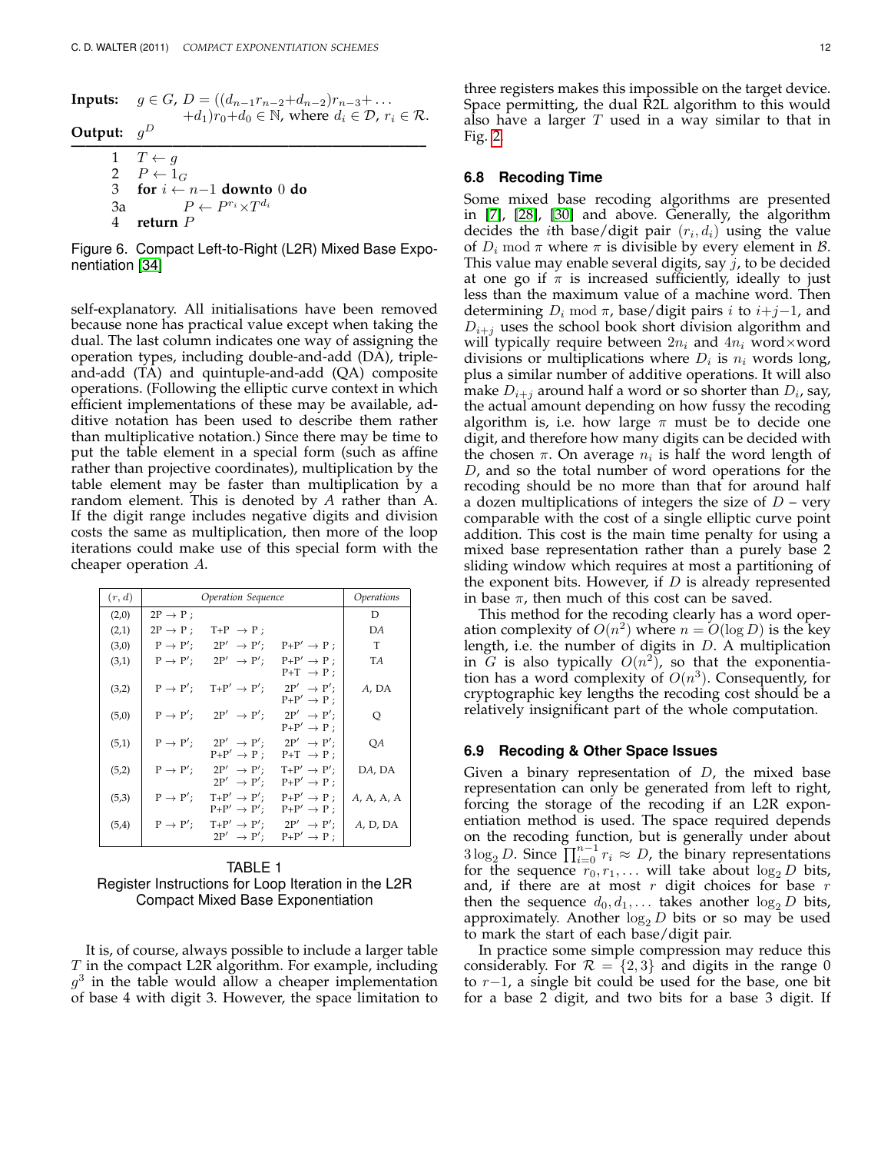**Inputs:**  $g \in G$ ,  $D = ((d_{n-1}r_{n-2}+d_{n-2})r_{n-3}+\ldots$  $+d_1)r_0+d_0 \in \mathbb{N}$ , where  $d_i \in \mathcal{D}$ ,  $r_i \in \mathcal{R}$ . **Output:**  $g^D$ **————————————————————————–** 1  $T \leftarrow g$ 2  $P \leftarrow 1_G$ <br>3 for  $i \leftarrow$ 3 **for** i ← n−1 **downto** 0 **do** 3a  $P \leftarrow P^{r_i} \times T^{d_i}$ 4 **return** P

<span id="page-11-1"></span>Figure 6. Compact Left-to-Right (L2R) Mixed Base Exponentiation [\[34\]](#page-14-0)

self-explanatory. All initialisations have been removed because none has practical value except when taking the dual. The last column indicates one way of assigning the operation types, including double-and-add (DA), tripleand-add (TA) and quintuple-and-add (QA) composite operations. (Following the elliptic curve context in which efficient implementations of these may be available, additive notation has been used to describe them rather than multiplicative notation.) Since there may be time to put the table element in a special form (such as affine rather than projective coordinates), multiplication by the table element may be faster than multiplication by a random element. This is denoted by *A* rather than A. If the digit range includes negative digits and division costs the same as multiplication, then more of the loop iterations could make use of this special form with the cheaper operation A.

| (r,d) | Operation Sequence   | Operations                                         |                                                                          |            |
|-------|----------------------|----------------------------------------------------|--------------------------------------------------------------------------|------------|
| (2,0) | $2P \rightarrow P$ ; |                                                    |                                                                          | D          |
| (2,1) | $2P \rightarrow P$ ; | $T+P \rightarrow P;$                               |                                                                          | DA         |
| (3,0) | $P \rightarrow P'$ ; | $2P' \rightarrow P'$                               | $P+P' \rightarrow P$ ;                                                   | T          |
| (3,1) | $P \rightarrow P'$ : | $2P' \rightarrow P'$                               | $P+P' \rightarrow P$ :<br>$P+T \rightarrow P$ ;                          | TA         |
| (3,2) | $P \rightarrow P'$ : | $T+P' \rightarrow P'$ ;                            | $2P' \rightarrow P'$ :<br>$P+P' \rightarrow P$ ;                         | A, DA      |
| (5,0) | $P \rightarrow P'$ : | $2P' \rightarrow P'$                               | $2P' \rightarrow P'$<br>$P+P' \rightarrow P$ ;                           | Q          |
| (5,1) | $P \rightarrow P'$ ; | $2P' \rightarrow P'$<br>$P+P' \rightarrow P$ ;     | $2P' \rightarrow P'$<br>$P+T \rightarrow P$ ;                            | QA         |
| (5,2) | $P \rightarrow P'$ ; | $2P' \rightarrow P'$<br>$2P' \rightarrow P'$       | $T+P' \rightarrow P'$ :<br>$P+P' \rightarrow P$ ;                        | DA, DA     |
| (5,3) | $P \rightarrow P'$ ; | $T+P' \rightarrow P'$ :<br>$P+P' \rightarrow P'$ : | $P+P' \rightarrow P$ :<br>$P+P' \rightarrow P$ ;                         | A, A, A, A |
| (5,4) | $P \rightarrow P'$ ; | $2P' \rightarrow P'$                               | $T+P' \rightarrow P'$ : $2P' \rightarrow P'$ :<br>$P+P' \rightarrow P$ : | A, D, DA   |

<span id="page-11-2"></span>TABLE 1 Register Instructions for Loop Iteration in the L2R Compact Mixed Base Exponentiation

It is, of course, always possible to include a larger table T in the compact L2R algorithm. For example, including  $g^3$  in the table would allow a cheaper implementation of base 4 with digit 3. However, the space limitation to

#### **6.8 Recoding Time**

Some mixed base recoding algorithms are presented in [\[7\]](#page-13-14), [\[28\]](#page-14-1), [\[30\]](#page-14-4) and above. Generally, the algorithm decides the *i*th base/digit pair  $(r_i, d_i)$  using the value of  $D_i$  mod  $\pi$  where  $\pi$  is divisible by every element in  $\beta$ . This value may enable several digits, say  $j$ , to be decided at one go if  $\pi$  is increased sufficiently, ideally to just less than the maximum value of a machine word. Then determining  $D_i \text{ mod } \pi$ , base/digit pairs i to  $i+j-1$ , and  $D_{i+j}$  uses the school book short division algorithm and will typically require between  $2n_i$  and  $4n_i$  word×word divisions or multiplications where  $D_i$  is  $n_i$  words long, plus a similar number of additive operations. It will also make  $D_{i+j}$  around half a word or so shorter than  $D_i$ , say, the actual amount depending on how fussy the recoding algorithm is, i.e. how large  $\pi$  must be to decide one digit, and therefore how many digits can be decided with the chosen  $\pi$ . On average  $n_i$  is half the word length of D, and so the total number of word operations for the recoding should be no more than that for around half a dozen multiplications of integers the size of  $D$  – very comparable with the cost of a single elliptic curve point addition. This cost is the main time penalty for using a mixed base representation rather than a purely base 2 sliding window which requires at most a partitioning of the exponent bits. However, if  $D$  is already represented in base  $\pi$ , then much of this cost can be saved.

This method for the recoding clearly has a word operation complexity of  $O(n^2)$  where  $n = O(\log D)$  is the key length, i.e. the number of digits in D. A multiplication in G is also typically  $O(n^2)$ , so that the exponentiation has a word complexity of  $O(n^3)$ . Consequently, for cryptographic key lengths the recoding cost should be a relatively insignificant part of the whole computation.

#### <span id="page-11-0"></span>**6.9 Recoding & Other Space Issues**

Given a binary representation of  $D$ , the mixed base representation can only be generated from left to right, forcing the storage of the recoding if an L2R exponentiation method is used. The space required depends on the recoding function, but is generally under about  $3\log_2 D$ . Since  $\prod_{i=0}^{n-1} r_i \approx D$ , the binary representations for the sequence  $r_0, r_1, \ldots$  will take about  $\log_2 D$  bits, and, if there are at most  $r$  digit choices for base  $r$ then the sequence  $d_0, d_1, \ldots$  takes another  $\log_2 D$  bits, approximately. Another  $\log_2 D$  bits or so may be used to mark the start of each base/digit pair.

In practice some simple compression may reduce this considerably. For  $\mathcal{R} = \{2,3\}$  and digits in the range 0 to r−1, a single bit could be used for the base, one bit for a base 2 digit, and two bits for a base 3 digit. If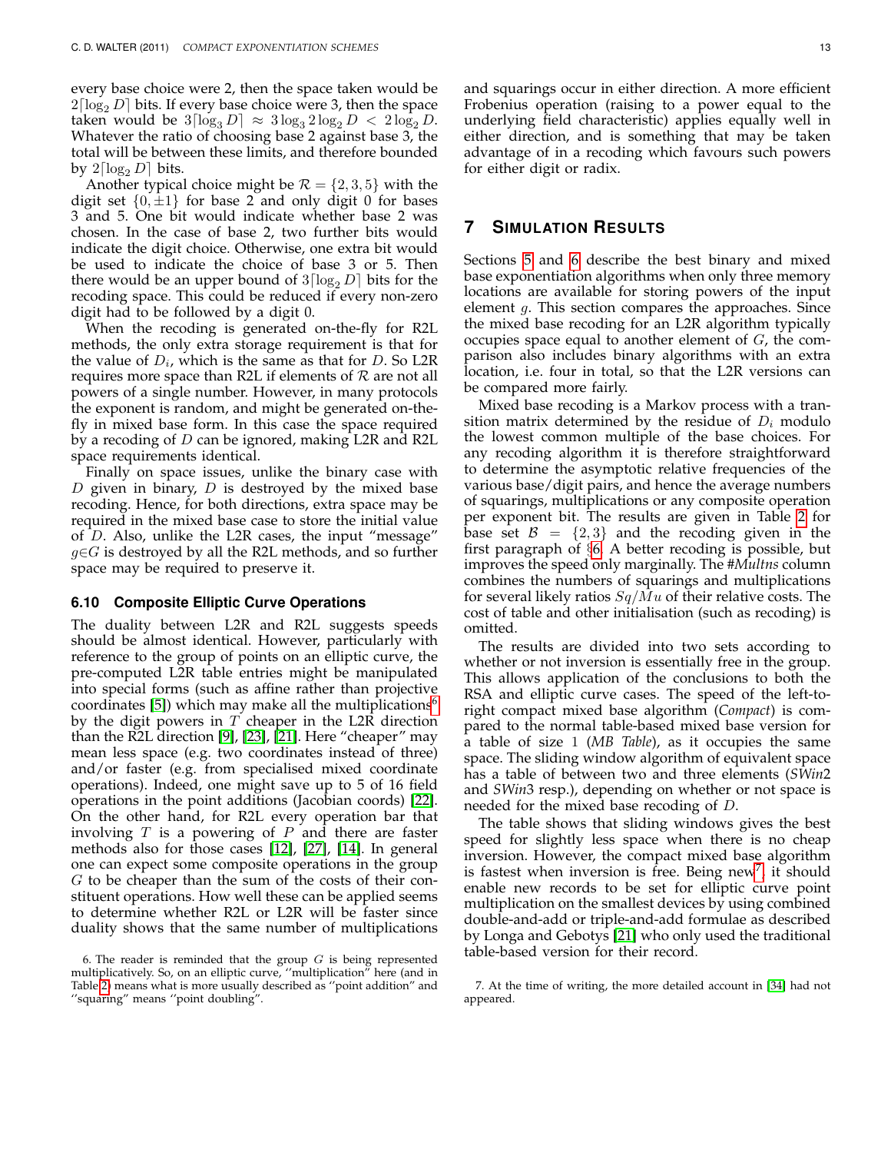every base choice were 2, then the space taken would be  $2\lceil \log_2 D \rceil$  bits. If every base choice were 3, then the space taken would be  $3\lceil \log_3 D \rceil \approx 3\log_3 2\log_2 D < 2\log_2 D$ . Whatever the ratio of choosing base 2 against base 3, the total will be between these limits, and therefore bounded by  $2\lceil \log_2 D \rceil$  bits.

Another typical choice might be  $\mathcal{R} = \{2, 3, 5\}$  with the digit set  $\{0, \pm 1\}$  for base 2 and only digit 0 for bases 3 and 5. One bit would indicate whether base 2 was chosen. In the case of base 2, two further bits would indicate the digit choice. Otherwise, one extra bit would be used to indicate the choice of base 3 or 5. Then there would be an upper bound of  $3\lceil \log_2 D \rceil$  bits for the recoding space. This could be reduced if every non-zero digit had to be followed by a digit 0.

When the recoding is generated on-the-fly for R2L methods, the only extra storage requirement is that for the value of  $D_i$ , which is the same as that for D. So L2R requires more space than R2L if elements of  $R$  are not all powers of a single number. However, in many protocols the exponent is random, and might be generated on-thefly in mixed base form. In this case the space required by a recoding of D can be ignored, making L2R and R2L space requirements identical.

Finally on space issues, unlike the binary case with  $D$  given in binary,  $D$  is destroyed by the mixed base recoding. Hence, for both directions, extra space may be required in the mixed base case to store the initial value of D. Also, unlike the L2R cases, the input "message"  $g∈G$  is destroyed by all the R2L methods, and so further space may be required to preserve it.

#### **6.10 Composite Elliptic Curve Operations**

The duality between L2R and R2L suggests speeds should be almost identical. However, particularly with reference to the group of points on an elliptic curve, the pre-computed L2R table entries might be manipulated into special forms (such as affine rather than projective coordinates [\[5\]](#page-13-24)) which may make all the multiplications<sup>[6](#page-12-0)</sup> by the digit powers in  $T$  cheaper in the L2R direction than the R2L direction [\[9\]](#page-13-3), [\[23\]](#page-13-5), [\[21\]](#page-13-15). Here "cheaper" may mean less space (e.g. two coordinates instead of three) and/or faster (e.g. from specialised mixed coordinate operations). Indeed, one might save up to 5 of 16 field operations in the point additions (Jacobian coords) [\[22\]](#page-13-25). On the other hand, for R2L every operation bar that involving  $T$  is a powering of  $P$  and there are faster methods also for those cases [\[12\]](#page-13-4), [\[27\]](#page-14-3), [\[14\]](#page-13-0). In general one can expect some composite operations in the group G to be cheaper than the sum of the costs of their constituent operations. How well these can be applied seems to determine whether R2L or L2R will be faster since duality shows that the same number of multiplications and squarings occur in either direction. A more efficient Frobenius operation (raising to a power equal to the underlying field characteristic) applies equally well in either direction, and is something that may be taken advantage of in a recoding which favours such powers for either digit or radix.

# **7 SIMULATION RESULTS**

Sections [5](#page-4-3) and [6](#page-6-2) describe the best binary and mixed base exponentiation algorithms when only three memory locations are available for storing powers of the input element g. This section compares the approaches. Since the mixed base recoding for an L2R algorithm typically occupies space equal to another element of G, the comparison also includes binary algorithms with an extra location, i.e. four in total, so that the L2R versions can be compared more fairly.

Mixed base recoding is a Markov process with a transition matrix determined by the residue of  $D_i$  modulo the lowest common multiple of the base choices. For any recoding algorithm it is therefore straightforward to determine the asymptotic relative frequencies of the various base/digit pairs, and hence the average numbers of squarings, multiplications or any composite operation per exponent bit. The results are given in Table [2](#page-13-21) for base set  $\mathcal{B} = \{2,3\}$  and the recoding given in the first paragraph of §[6.](#page-6-2) A better recoding is possible, but improves the speed only marginally. The *#Multns* column combines the numbers of squarings and multiplications for several likely ratios  $Sq/Mu$  of their relative costs. The cost of table and other initialisation (such as recoding) is omitted.

The results are divided into two sets according to whether or not inversion is essentially free in the group. This allows application of the conclusions to both the RSA and elliptic curve cases. The speed of the left-toright compact mixed base algorithm (*Compact*) is compared to the normal table-based mixed base version for a table of size 1 (*MB Table*), as it occupies the same space. The sliding window algorithm of equivalent space has a table of between two and three elements (*SWin*2 and *SWin*3 resp.), depending on whether or not space is needed for the mixed base recoding of D.

The table shows that sliding windows gives the best speed for slightly less space when there is no cheap inversion. However, the compact mixed base algorithm is fastest when inversion is free. Being new<sup>[7](#page-12-1)</sup>, it should enable new records to be set for elliptic curve point multiplication on the smallest devices by using combined double-and-add or triple-and-add formulae as described by Longa and Gebotys [\[21\]](#page-13-15) who only used the traditional table-based version for their record.

<span id="page-12-0"></span><sup>6.</sup> The reader is reminded that the group  $G$  is being represented multiplicatively. So, on an elliptic curve, ''multiplication" here (and in Table [2\)](#page-13-21) means what is more usually described as ''point addition" and ''squaring" means ''point doubling".

<span id="page-12-1"></span><sup>7.</sup> At the time of writing, the more detailed account in [\[34\]](#page-14-0) had not appeared.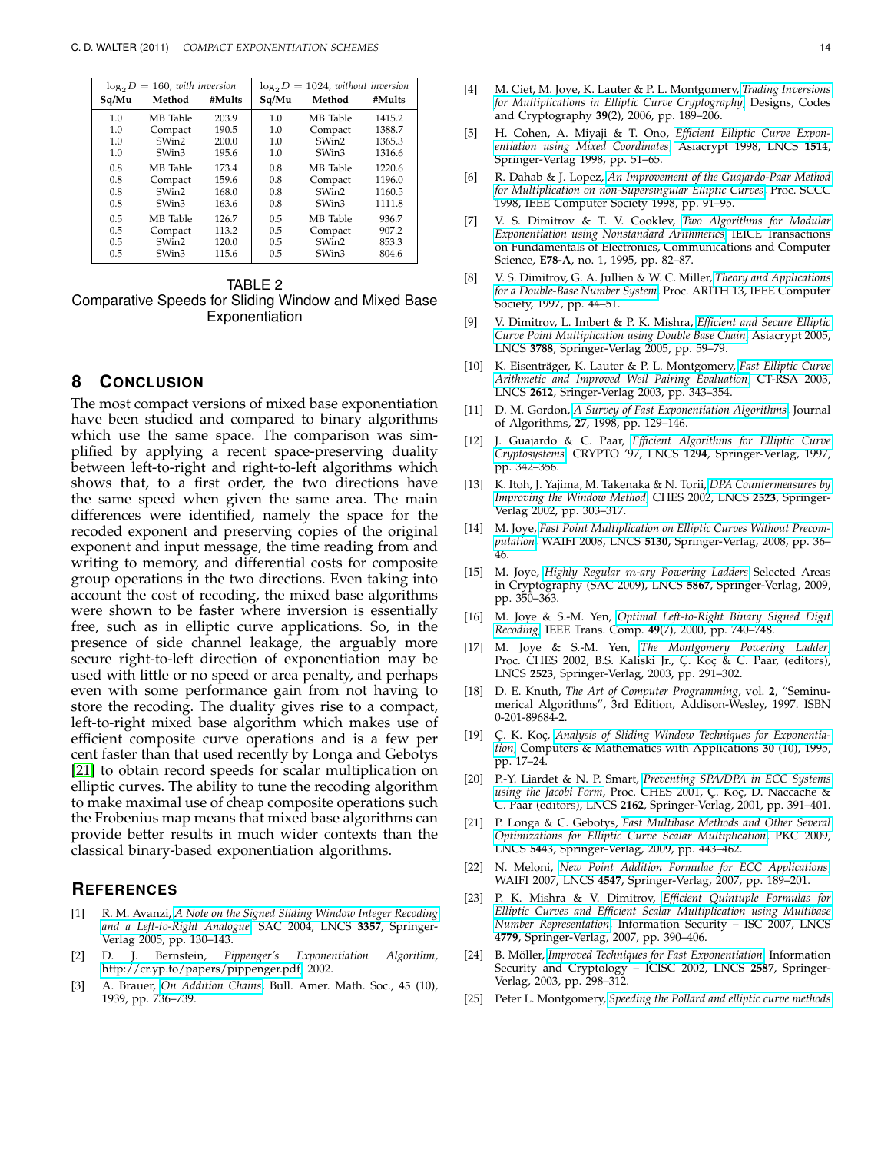| $\log_2 D = 160$ , with inversion |          |        | $\log_2 D = 1024$ , without inversion |          |        |
|-----------------------------------|----------|--------|---------------------------------------|----------|--------|
| Sq/Mu                             | Method   | #Mults | Sq/Mu                                 | Method   | #Mults |
| 1.0                               | MB Table | 203.9  | 1.0                                   | MB Table | 1415.2 |
| 1.0                               | Compact  | 190.5  | 1.0                                   | Compact  | 1388.7 |
| 1.0                               | SWin2    | 200.0  | 1.0                                   | SWin2    | 1365.3 |
| 1.0                               | SWin3    | 195.6  | 1.0                                   | SWin3    | 1316.6 |
| 0.8                               | MB Table | 173.4  | 0.8                                   | MB Table | 1220.6 |
| 0.8                               | Compact  | 159.6  | 0.8                                   | Compact  | 1196.0 |
| 0.8                               | SWin2    | 168.0  | 0.8                                   | SWin2    | 1160.5 |
| 0.8                               | SWin3    | 163.6  | 0.8                                   | SWin3    | 1111.8 |
| 0.5                               | MB Table | 126.7  | 0.5                                   | MB Table | 936.7  |
| 0.5                               | Compact  | 113.2  | 0.5                                   | Compact  | 907.2  |
| 0.5                               | SWin2    | 120.0  | 0.5                                   | SWin2    | 853.3  |
| 0.5                               | SWin3    | 115.6  | 0.5                                   | SWin3    | 804.6  |

#### TABLE 2

<span id="page-13-21"></span>Comparative Speeds for Sliding Window and Mixed Base Exponentiation

# **8 CONCLUSION**

The most compact versions of mixed base exponentiation have been studied and compared to binary algorithms which use the same space. The comparison was simplified by applying a recent space-preserving duality between left-to-right and right-to-left algorithms which shows that, to a first order, the two directions have the same speed when given the same area. The main differences were identified, namely the space for the recoded exponent and preserving copies of the original exponent and input message, the time reading from and writing to memory, and differential costs for composite group operations in the two directions. Even taking into account the cost of recoding, the mixed base algorithms were shown to be faster where inversion is essentially free, such as in elliptic curve applications. So, in the presence of side channel leakage, the arguably more secure right-to-left direction of exponentiation may be used with little or no speed or area penalty, and perhaps even with some performance gain from not having to store the recoding. The duality gives rise to a compact, left-to-right mixed base algorithm which makes use of efficient composite curve operations and is a few per cent faster than that used recently by Longa and Gebotys [\[21\]](#page-13-15) to obtain record speeds for scalar multiplication on elliptic curves. The ability to tune the recoding algorithm to make maximal use of cheap composite operations such the Frobenius map means that mixed base algorithms can provide better results in much wider contexts than the classical binary-based exponentiation algorithms.

## **REFERENCES**

- <span id="page-13-13"></span>[1] R. M. Avanzi, *[A Note on the Signed Sliding Window Integer Recoding](http://www.springerlink.com/content/bcwxkhr54gj6g2bl/) [and a Left-to-Right Analogue](http://www.springerlink.com/content/bcwxkhr54gj6g2bl/)*, SAC 2004, LNCS **3357**, Springer-Verlag 2005, pp. 130–143.
- <span id="page-13-6"></span>[2] D. J. Bernstein, *Pippenger's Exponentiation Algorithm*, [http://cr.yp.to/papers/pippenger.pdf,](http://cr.yp.to/papers/pippenger.pdf) 2002.
- <span id="page-13-10"></span>[3] A. Brauer, *[On Addition Chains](http://www.ams.org/journals/bull/1939-45-10/S0002-9904-1939-07068-7/)*, Bull. Amer. Math. Soc., **45** (10), 1939, pp. 736–739.
- <span id="page-13-1"></span>[4] M. Ciet, M. Joye, K. Lauter & P. L. Montgomery, *[Trading Inversions](http://www.springerlink.com/content/ax98436214xm3k5n/) [for Multiplications in Elliptic Curve Cryptography](http://www.springerlink.com/content/ax98436214xm3k5n/)*, Designs, Codes and Cryptography **39**(2), 2006, pp. 189–206.
- <span id="page-13-24"></span>[5] H. Cohen, A. Miyaji & T. Ono, *[Efficient Elliptic Curve Expon](http://www.springerlink.com/content/2kd7ykm5hk0ywa3l)[entiation using Mixed Coordinates](http://www.springerlink.com/content/2kd7ykm5hk0ywa3l)*, Asiacrypt 1998, LNCS **1514**, Springer-Verlag 1998, pp. 51–65.
- <span id="page-13-2"></span>[6] R. Dahab & J. Lopez, *[An Improvement of the Guajardo-Paar Method](http://doi.ieeecomputersociety.org/10.1109/SCCC.1998.730787) [for Multiplication on non-Supersingular Elliptic Curves](http://doi.ieeecomputersociety.org/10.1109/SCCC.1998.730787)*, Proc. SCCC 1998, IEEE Computer Society 1998, pp. 91–95.
- <span id="page-13-14"></span>[7] V. S. Dimitrov & T. V. Cooklev, *[Two Algorithms for Modular](http://search.ieice.org/bin/summary.php?id=e78-a_1_82) [Exponentiation using Nonstandard Arithmetics](http://search.ieice.org/bin/summary.php?id=e78-a_1_82)*, IEICE Transactions on Fundamentals of Electronics, Communications and Computer Science, **E78-A**, no. 1, 1995, pp. 82–87.
- <span id="page-13-8"></span>[8] V. S. Dimitrov, G. A. Jullien & W. C. Miller, *[Theory and Applications](http://www.computer.org/portal/web/csdl/doi/10.1109/ARITH.1997.614878) [for a Double-Base Number System](http://www.computer.org/portal/web/csdl/doi/10.1109/ARITH.1997.614878)*, Proc. ARITH 13, IEEE Computer Society, 1997, pp. 44–51.
- <span id="page-13-3"></span>[9] V. Dimitrov, L. Imbert & P. K. Mishra, *[Efficient and Secure Elliptic](http://www.springerlink.com/content/p96564u076k3uk26/) [Curve Point Multiplication using Double Base Chain](http://www.springerlink.com/content/p96564u076k3uk26/)*, Asiacrypt 2005, LNCS **3788**, Springer-Verlag 2005, pp. 59–79.
- <span id="page-13-18"></span>[10] K. Eisenträger, K. Lauter & P. L. Montgomery, [Fast Elliptic Curve](http://www.springerlink.com/content/wa9l0811fycvh5d9/) *[Arithmetic and Improved Weil Pairing Evaluation](http://www.springerlink.com/content/wa9l0811fycvh5d9/)*, CT-RSA 2003, LNCS **2612**, Sringer-Verlag 2003, pp. 343–354.
- <span id="page-13-9"></span>[11] D. M. Gordon, *[A Survey of Fast Exponentiation Algorithms](http://dx.doi.org/10.1006/jagm.1997.0913)*, Journal of Algorithms, **27**, 1998, pp. 129–146.
- <span id="page-13-4"></span>[12] J. Guajardo & C. Paar, *[Efficient Algorithms for Elliptic Curve](http://www.springerlink.com/content/b87011v47312h21x/) [Cryptosystems](http://www.springerlink.com/content/b87011v47312h21x/)*, CRYPTO '97, LNCS **1294**, Springer-Verlag, 1997, pp. 342–356.
- <span id="page-13-17"></span>[13] K. Itoh, J. Yajima, M. Takenaka & N. Torii, *[DPA Countermeasures by](http://www.springerlink.com/content/v34a7m2luf83p02c/) [Improving the Window Method](http://www.springerlink.com/content/v34a7m2luf83p02c/)*, CHES 2002, LNCS **2523**, Springer-Verlag 2002, pp. 303–317.
- <span id="page-13-0"></span>[14] M. Joye, *[Fast Point Multiplication on Elliptic Curves Without Precom](http://www.springerlink.com/content/4m16858070264411/)[putation](http://www.springerlink.com/content/4m16858070264411/)*, WAIFI 2008, LNCS **5130**, Springer-Verlag, 2008, pp. 36– 46.
- <span id="page-13-20"></span>[15] M. Joye, *Highly Regular* m*[-ary Powering Ladders](http://www.springerlink.com/content/q13p45l1u7r6224v/)* Selected Areas in Cryptography (SAC 2009), LNCS **5867**, Springer-Verlag, 2009, pp. 350–363.
- <span id="page-13-12"></span>[16] M. Joye & S.-M. Yen, *[Optimal Left-to-Right Binary Signed Digit](http://www.computer.org/portal/web/csdl/doi/10.1109/12.863044) [Recoding](http://www.computer.org/portal/web/csdl/doi/10.1109/12.863044)*, IEEE Trans. Comp. **49**(7), 2000, pp. 740–748.
- <span id="page-13-23"></span>[17] M. Joye & S.-M. Yen, *[The Montgomery Powering Ladder](http://www.springerlink.com/content/1eupwrx4c4xayyyv/)*, Proc. CHES 2002, B.S. Kaliski Jr., Ç. Koç & C. Paar, (editors), LNCS **2523**, Springer-Verlag, 2003, pp. 291–302.
- <span id="page-13-7"></span>[18] D. E. Knuth, *The Art of Computer Programming*, vol. **2**, "Seminumerical Algorithms", 3rd Edition, Addison-Wesley, 1997. ISBN 0-201-89684-2.
- <span id="page-13-11"></span>[19] C¸ . K. Koc¸, *[Analysis of Sliding Window Techniques for Exponentia](http://dx.doi.org/10.1016/0898-1221(95)00153-P)[tion](http://dx.doi.org/10.1016/0898-1221(95)00153-P)*, Computers & Mathematics with Applications **30** (10), 1995, pp. 17–24.
- <span id="page-13-16"></span>[20] P.-Y. Liardet & N. P. Smart, *[Preventing SPA/DPA in ECC Systems](http://www.springerlink.com/content/h3bhhlxn9qbg05pj/)* [using the Jacobi Form](http://www.springerlink.com/content/h3bhhlxn9qbg05pj/), Proc. CHES 2001, Ç. Koç, D. Naccache & C. Paar (editors), LNCS **2162**, Springer-Verlag, 2001, pp. 391–401.
- <span id="page-13-15"></span>[21] P. Longa & C. Gebotys, *[Fast Multibase Methods and Other Several](http://www.springerlink.com/content/j23621788716712w/) [Optimizations for Elliptic Curve Scalar Multiplication](http://www.springerlink.com/content/j23621788716712w/)*, PKC 2009, LNCS **5443**, Springer-Verlag, 2009, pp. 443–462.
- <span id="page-13-25"></span>[22] N. Meloni, *[New Point Addition Formulae for ECC Applications](http://www.springerlink.com/content/rh661n50261rqp7n/)*, WAIFI 2007, LNCS **4547**, Springer-Verlag, 2007, pp. 189–201.
- <span id="page-13-5"></span>[23] P. K. Mishra & V. Dimitrov, *[Efficient Quintuple Formulas for](http://www.springerlink.com/content/j287217h59125x13/) [Elliptic Curves and Efficient Scalar Multiplication using Multibase](http://www.springerlink.com/content/j287217h59125x13/) [Number Representation](http://www.springerlink.com/content/j287217h59125x13/)*, Information Security – ISC 2007, LNCS **4779**, Springer-Verlag, 2007, pp. 390–406.
- <span id="page-13-19"></span>[24] B. Möller, *[Improved Techniques for Fast Exponentiation](http://www.springerlink.com/content/4v7x6610dj7ed89b/)*, Information Security and Cryptology – ICISC 2002, LNCS **2587**, Springer-Verlag, 2003, pp. 298–312.
- <span id="page-13-22"></span>[25] Peter L. Montgomery, *[Speeding the Pollard and elliptic curve methods](http://www.ams.org/journals/mcom/1987-48-177/S0025-5718-1987-0866113-7/)*